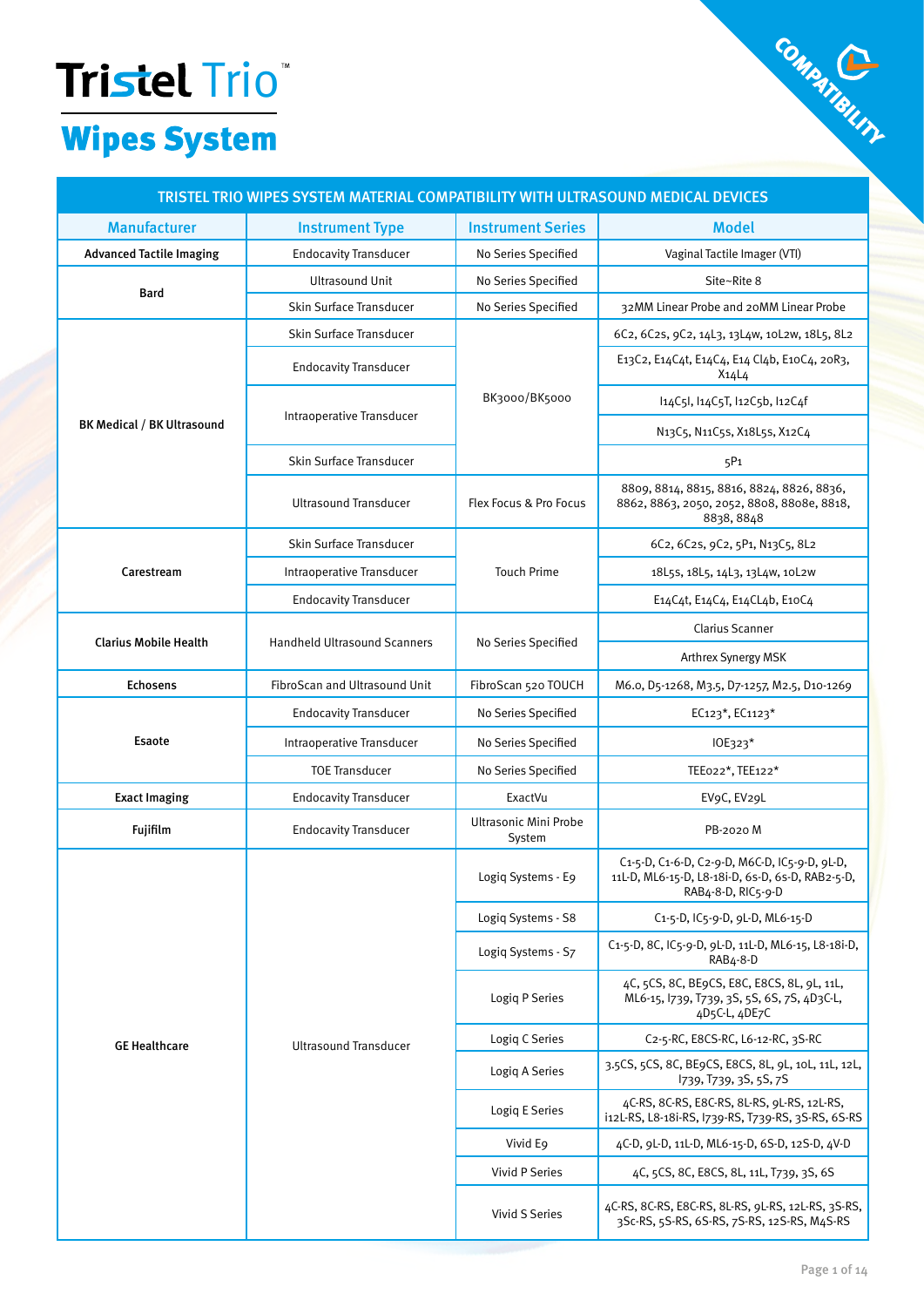# Tristel Trio Company Company Company Company Company Company Company Company Company Company Company Company Company Company Company Company Company Company Company Company Company Company Company Company Company Company C

## TRISTEL TRIO WIPES SYSTEM MATERIAL COMPATIBILITY WITH ULTRASOUND MEDICAL DEVICES

| <b>Manufacturer</b>               | <b>Instrument Type</b>              | <b>Instrument Series</b>        | <b>Model</b>                                                                                                                        |
|-----------------------------------|-------------------------------------|---------------------------------|-------------------------------------------------------------------------------------------------------------------------------------|
| <b>Advanced Tactile Imaging</b>   | <b>Endocavity Transducer</b>        | No Series Specified             | Vaginal Tactile Imager (VTI)                                                                                                        |
|                                   | <b>Ultrasound Unit</b>              | No Series Specified             | Site~Rite 8                                                                                                                         |
| <b>Bard</b>                       | Skin Surface Transducer             | No Series Specified             | 32MM Linear Probe and 20MM Linear Probe                                                                                             |
|                                   | <b>Skin Surface Transducer</b>      |                                 | 6C2, 6C2s, 9C2, 14L3, 13L4w, 10L2w, 18L5, 8L2                                                                                       |
|                                   | <b>Endocavity Transducer</b>        |                                 | E13C2, E14C4t, E14C4, E14 Cl4b, E10C4, 20R3,<br>$X_14L4$                                                                            |
|                                   |                                     | BK3000/BK5000                   | l14C5l, l14C5T, l12C5b, l12C4f                                                                                                      |
| <b>BK Medical / BK Ultrasound</b> | Intraoperative Transducer           |                                 | N <sub>13</sub> C <sub>5</sub> , N <sub>11</sub> C <sub>5</sub> s, X <sub>1</sub> 8L <sub>5</sub> s, X <sub>12</sub> C <sub>4</sub> |
|                                   | Skin Surface Transducer             |                                 | 5P1                                                                                                                                 |
|                                   | <b>Ultrasound Transducer</b>        | Flex Focus & Pro Focus          | 8809, 8814, 8815, 8816, 8824, 8826, 8836,<br>8862, 8863, 2050, 2052, 8808, 8808e, 8818,<br>8838, 8848                               |
|                                   | <b>Skin Surface Transducer</b>      |                                 | 6C2, 6C2s, 9C2, 5P1, N13C5, 8L2                                                                                                     |
| Carestream                        | Intraoperative Transducer           | <b>Touch Prime</b>              | 18L5s, 18L5, 14L3, 13L4w, 10L2w                                                                                                     |
|                                   | <b>Endocavity Transducer</b>        |                                 | E14C4t, E14C4, E14CL4b, E10C4                                                                                                       |
|                                   |                                     |                                 | <b>Clarius Scanner</b>                                                                                                              |
| <b>Clarius Mobile Health</b>      | <b>Handheld Ultrasound Scanners</b> | No Series Specified             | Arthrex Synergy MSK                                                                                                                 |
| <b>Echosens</b>                   | FibroScan and Ultrasound Unit       | FibroScan 520 TOUCH             | M6.0, D5-1268, M3.5, D7-1257, M2.5, D10-1269                                                                                        |
|                                   | <b>Endocavity Transducer</b>        | No Series Specified             | EC123*, EC1123*                                                                                                                     |
| <b>Esaote</b>                     | Intraoperative Transducer           | No Series Specified             | IOE323*                                                                                                                             |
|                                   | <b>TOE Transducer</b>               | No Series Specified             | TEE022*, TEE122*                                                                                                                    |
| <b>Exact Imaging</b>              | <b>Endocavity Transducer</b>        | ExactVu                         | EV9C, EV29L                                                                                                                         |
| Fujifilm                          | <b>Endocavity Transducer</b>        | Ultrasonic Mini Probe<br>System | PB-2020 M                                                                                                                           |
|                                   |                                     | Logiq Systems - E9              | C1-5-D, C1-6-D, C2-9-D, M6C-D, IC5-9-D, 9L-D,<br>11L-D, ML6-15-D, L8-18i-D, 6s-D, 6s-D, RAB2-5-D,<br>RAB4-8-D, RIC5-9-D             |
|                                   |                                     | Logiq Systems - S8              | C1-5-D, IC5-9-D, 9L-D, ML6-15-D                                                                                                     |
|                                   |                                     | Logiq Systems - S7              | C1-5-D, 8C, IC5-9-D, 9L-D, 11L-D, ML6-15, L8-18i-D,<br>RAB4-8-D                                                                     |
| <b>GE Healthcare</b>              |                                     | Logiq P Series                  | 4C, 5CS, 8C, BE9CS, E8C, E8CS, 8L, 9L, 11L,<br>ML6-15, 1739, T739, 3S, 5S, 6S, 7S, 4D3C-L,<br>4D5C-L, 4DE7C                         |
|                                   | <b>Ultrasound Transducer</b>        | Logiq C Series                  | C <sub>2</sub> -5-RC, E8CS-RC, L6-12-RC, 3S-RC                                                                                      |
|                                   |                                     | Logiq A Series                  | 3.5CS, 5CS, 8C, BE9CS, E8CS, 8L, 9L, 10L, 11L, 12L,<br>1739, T739, 3S, 5S, 7S                                                       |
|                                   |                                     | Logiq E Series                  | 4C-RS, 8C-RS, E8C-RS, 8L-RS, 9L-RS, 12L-RS,<br>i12L-RS, L8-18i-RS, 1739-RS, T739-RS, 3S-RS, 6S-RS                                   |
|                                   |                                     | Vivid E9                        | 4C-D, 9L-D, 11L-D, ML6-15-D, 6S-D, 12S-D, 4V-D                                                                                      |
|                                   |                                     | Vivid P Series                  | 4C, 5CS, 8C, E8CS, 8L, 11L, T739, 3S, 6S                                                                                            |
|                                   |                                     | Vivid S Series                  | 4C-RS, 8C-RS, E8C-RS, 8L-RS, 9L-RS, 12L-RS, 3S-RS,<br>3Sc-RS, 5S-RS, 6S-RS, 7S-RS, 12S-RS, M4S-RS                                   |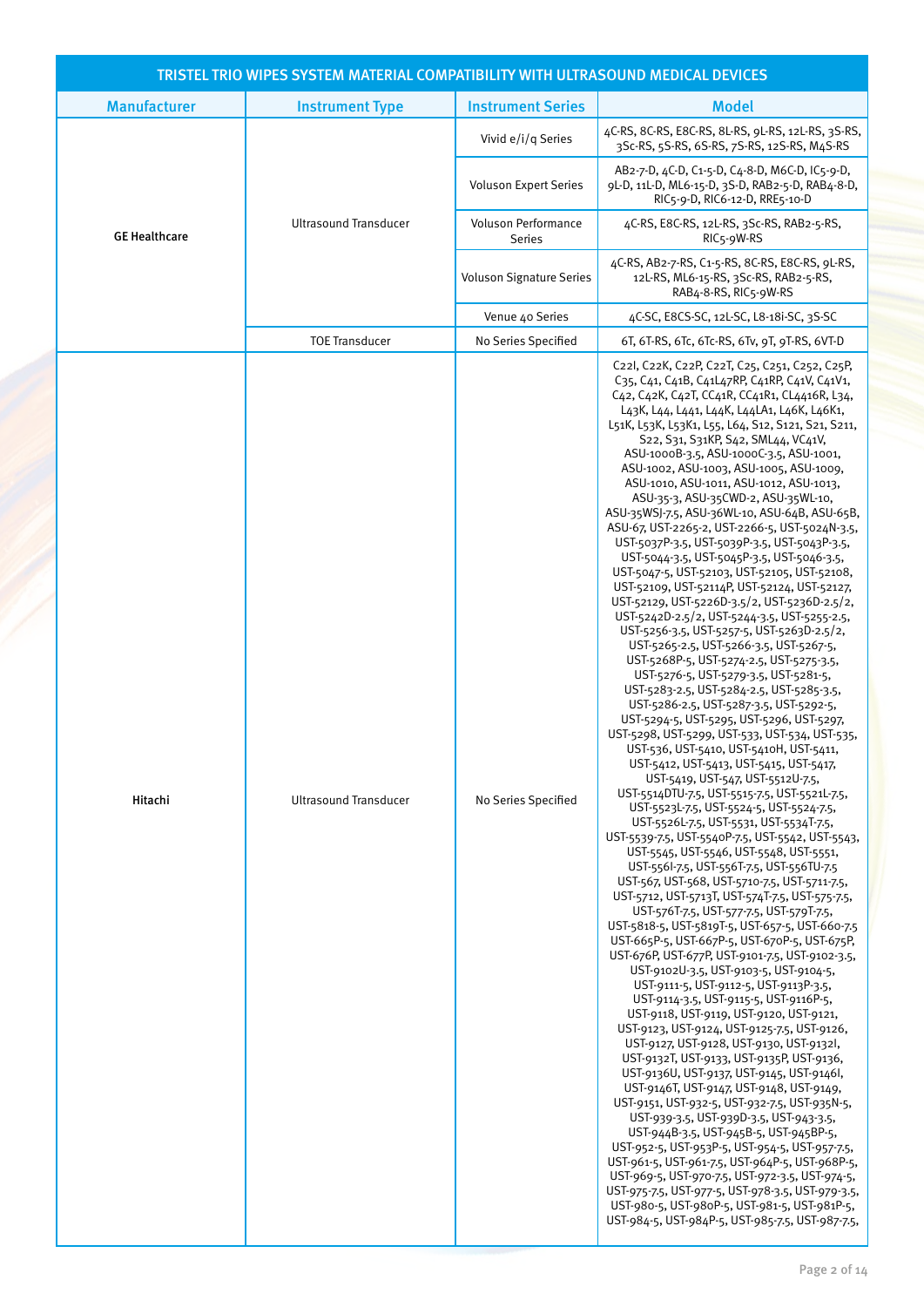|                      | TRISTEL TRIO WIPES SYSTEM MATERIAL COMPATIBILITY WITH ULTRASOUND MEDICAL DEVICES |                                      |                                                                                                                                                                                                                                                                                                                                                                                                                                                                                                                                                                                                                                                                                                                                                                                                                                                                                                                                                                                                                                                                                                                                                                                                                                                                                                                                                                                                                                                                                                                                                                                                                                                                                                                                                                                                                                                                                                                                                                                                                                                                                                                                                                                                                                                                                                                                                                                                                                                                                                                                                                                                                                                                                                                                                                                                                                    |
|----------------------|----------------------------------------------------------------------------------|--------------------------------------|------------------------------------------------------------------------------------------------------------------------------------------------------------------------------------------------------------------------------------------------------------------------------------------------------------------------------------------------------------------------------------------------------------------------------------------------------------------------------------------------------------------------------------------------------------------------------------------------------------------------------------------------------------------------------------------------------------------------------------------------------------------------------------------------------------------------------------------------------------------------------------------------------------------------------------------------------------------------------------------------------------------------------------------------------------------------------------------------------------------------------------------------------------------------------------------------------------------------------------------------------------------------------------------------------------------------------------------------------------------------------------------------------------------------------------------------------------------------------------------------------------------------------------------------------------------------------------------------------------------------------------------------------------------------------------------------------------------------------------------------------------------------------------------------------------------------------------------------------------------------------------------------------------------------------------------------------------------------------------------------------------------------------------------------------------------------------------------------------------------------------------------------------------------------------------------------------------------------------------------------------------------------------------------------------------------------------------------------------------------------------------------------------------------------------------------------------------------------------------------------------------------------------------------------------------------------------------------------------------------------------------------------------------------------------------------------------------------------------------------------------------------------------------------------------------------------------------|
| <b>Manufacturer</b>  | <b>Instrument Type</b>                                                           | <b>Instrument Series</b>             | <b>Model</b>                                                                                                                                                                                                                                                                                                                                                                                                                                                                                                                                                                                                                                                                                                                                                                                                                                                                                                                                                                                                                                                                                                                                                                                                                                                                                                                                                                                                                                                                                                                                                                                                                                                                                                                                                                                                                                                                                                                                                                                                                                                                                                                                                                                                                                                                                                                                                                                                                                                                                                                                                                                                                                                                                                                                                                                                                       |
|                      |                                                                                  | Vivid e/i/q Series                   | 4C-RS, 8C-RS, E8C-RS, 8L-RS, 9L-RS, 12L-RS, 3S-RS,<br>3Sc-RS, 5S-RS, 6S-RS, 7S-RS, 12S-RS, M4S-RS                                                                                                                                                                                                                                                                                                                                                                                                                                                                                                                                                                                                                                                                                                                                                                                                                                                                                                                                                                                                                                                                                                                                                                                                                                                                                                                                                                                                                                                                                                                                                                                                                                                                                                                                                                                                                                                                                                                                                                                                                                                                                                                                                                                                                                                                                                                                                                                                                                                                                                                                                                                                                                                                                                                                  |
|                      |                                                                                  | <b>Voluson Expert Series</b>         | AB2-7-D, 4C-D, C1-5-D, C4-8-D, M6C-D, IC5-9-D,<br>9L-D, 11L-D, ML6-15-D, 3S-D, RAB2-5-D, RAB4-8-D,<br>RIC5-9-D, RIC6-12-D, RRE5-10-D                                                                                                                                                                                                                                                                                                                                                                                                                                                                                                                                                                                                                                                                                                                                                                                                                                                                                                                                                                                                                                                                                                                                                                                                                                                                                                                                                                                                                                                                                                                                                                                                                                                                                                                                                                                                                                                                                                                                                                                                                                                                                                                                                                                                                                                                                                                                                                                                                                                                                                                                                                                                                                                                                               |
| <b>GE Healthcare</b> | <b>Ultrasound Transducer</b>                                                     | <b>Voluson Performance</b><br>Series | 4C-RS, E8C-RS, 12L-RS, 3Sc-RS, RAB2-5-RS,<br>RIC <sub>5</sub> -9W-RS                                                                                                                                                                                                                                                                                                                                                                                                                                                                                                                                                                                                                                                                                                                                                                                                                                                                                                                                                                                                                                                                                                                                                                                                                                                                                                                                                                                                                                                                                                                                                                                                                                                                                                                                                                                                                                                                                                                                                                                                                                                                                                                                                                                                                                                                                                                                                                                                                                                                                                                                                                                                                                                                                                                                                               |
|                      |                                                                                  | <b>Voluson Signature Series</b>      | 4C-RS, AB2-7-RS, C1-5-RS, 8C-RS, E8C-RS, 9L-RS,<br>12L-RS, ML6-15-RS, 3Sc-RS, RAB2-5-RS,<br>RAB4-8-RS, RIC5-9W-RS                                                                                                                                                                                                                                                                                                                                                                                                                                                                                                                                                                                                                                                                                                                                                                                                                                                                                                                                                                                                                                                                                                                                                                                                                                                                                                                                                                                                                                                                                                                                                                                                                                                                                                                                                                                                                                                                                                                                                                                                                                                                                                                                                                                                                                                                                                                                                                                                                                                                                                                                                                                                                                                                                                                  |
|                      |                                                                                  | Venue 40 Series                      | 4C-SC, E8CS-SC, 12L-SC, L8-18i-SC, 3S-SC                                                                                                                                                                                                                                                                                                                                                                                                                                                                                                                                                                                                                                                                                                                                                                                                                                                                                                                                                                                                                                                                                                                                                                                                                                                                                                                                                                                                                                                                                                                                                                                                                                                                                                                                                                                                                                                                                                                                                                                                                                                                                                                                                                                                                                                                                                                                                                                                                                                                                                                                                                                                                                                                                                                                                                                           |
|                      | <b>TOE Transducer</b>                                                            | No Series Specified                  | 6T, 6T-RS, 6Tc, 6Tc-RS, 6Tv, 9T, 9T-RS, 6VT-D                                                                                                                                                                                                                                                                                                                                                                                                                                                                                                                                                                                                                                                                                                                                                                                                                                                                                                                                                                                                                                                                                                                                                                                                                                                                                                                                                                                                                                                                                                                                                                                                                                                                                                                                                                                                                                                                                                                                                                                                                                                                                                                                                                                                                                                                                                                                                                                                                                                                                                                                                                                                                                                                                                                                                                                      |
| Hitachi              | <b>Ultrasound Transducer</b>                                                     | No Series Specified                  | C22l, C22K, C22P, C22T, C25, C251, C252, C25P,<br>C35, C41, C41B, C41L47RP, C41RP, C41V, C41V1,<br>C42, C42K, C42T, CC41R, CC41R1, CL4416R, L34,<br>L43K, L44, L441, L44K, L44LA1, L46K, L46K1,<br>L51K, L53K, L53K1, L55, L64, S12, S121, S21, S211,<br>S22, S31, S31KP, S42, SML44, VC41V,<br>ASU-1000B-3.5, ASU-1000C-3.5, ASU-1001,<br>ASU-1002, ASU-1003, ASU-1005, ASU-1009,<br>ASU-1010, ASU-1011, ASU-1012, ASU-1013,<br>ASU-35-3, ASU-35CWD-2, ASU-35WL-10,<br>ASU-35WSJ-7.5, ASU-36WL-10, ASU-64B, ASU-65B,<br>ASU-67, UST-2265-2, UST-2266-5, UST-5024N-3.5,<br>UST-5037P-3.5, UST-5039P-3.5, UST-5043P-3.5,<br>UST-5044-3.5, UST-5045P-3.5, UST-5046-3.5,<br>UST-5047-5, UST-52103, UST-52105, UST-52108,<br>UST-52109, UST-52114P, UST-52124, UST-52127,<br>UST-52129, UST-5226D-3.5/2, UST-5236D-2.5/2,<br>UST-5242D-2.5/2, UST-5244-3.5, UST-5255-2.5,<br>UST-5256-3.5, UST-5257-5, UST-5263D-2.5/2,<br>UST-5265-2.5, UST-5266-3.5, UST-5267-5,<br>UST-5268P-5, UST-5274-2.5, UST-5275-3.5,<br>UST-5276-5, UST-5279-3.5, UST-5281-5,<br>UST-5283-2.5, UST-5284-2.5, UST-5285-3.5,<br>UST-5286-2.5, UST-5287-3.5, UST-5292-5,<br>UST-5294-5, UST-5295, UST-5296, UST-5297,<br>UST-5298, UST-5299, UST-533, UST-534, UST-535,<br>UST-536, UST-5410, UST-5410H, UST-5411,<br>UST-5412, UST-5413, UST-5415, UST-5417,<br>UST-5419, UST-547, UST-5512U-7.5,<br>UST-5514DTU-7.5, UST-5515-7.5, UST-5521L-7.5,<br>UST-5523L-7.5, UST-5524-5, UST-5524-7.5,<br>UST-5526L-7.5, UST-5531, UST-5534T-7.5,<br>UST-5539-7.5, UST-5540P-7.5, UST-5542, UST-5543,<br>UST-5545, UST-5546, UST-5548, UST-5551,<br>UST-556l-7.5, UST-556T-7.5, UST-556TU-7.5<br>UST-567, UST-568, UST-5710-7.5, UST-5711-7.5,<br>UST-5712, UST-5713T, UST-574T-7.5, UST-575-7.5,<br>UST-576T-7.5, UST-577-7.5, UST-579T-7.5,<br>UST-5818-5, UST-5819T-5, UST-657-5, UST-660-7.5<br>UST-665P-5, UST-667P-5, UST-670P-5, UST-675P,<br>UST-676P, UST-677P, UST-9101-7.5, UST-9102-3.5,<br>UST-9102U-3.5, UST-9103-5, UST-9104-5,<br>UST-9111-5, UST-9112-5, UST-9113P-3.5,<br>UST-9114-3.5, UST-9115-5, UST-9116P-5,<br>UST-9118, UST-9119, UST-9120, UST-9121,<br>UST-9123, UST-9124, UST-9125-7.5, UST-9126,<br>UST-9127, UST-9128, UST-9130, UST-9132l,<br>UST-9132T, UST-9133, UST-9135P, UST-9136,<br>UST-9136U, UST-9137, UST-9145, UST-9146I,<br>UST-9146T, UST-9147, UST-9148, UST-9149,<br>UST-9151, UST-932-5, UST-932-7.5, UST-935N-5,<br>UST-939-3.5, UST-939D-3.5, UST-943-3.5,<br>UST-944B-3.5, UST-945B-5, UST-945BP-5,<br>UST-952-5, UST-953P-5, UST-954-5, UST-957-7.5,<br>UST-961-5, UST-961-7.5, UST-964P-5, UST-968P-5,<br>UST-969-5, UST-970-7.5, UST-972-3.5, UST-974-5,<br>UST-975-7.5, UST-977-5, UST-978-3.5, UST-979-3.5,<br>UST-980-5, UST-980P-5, UST-981-5, UST-981P-5,<br>UST-984-5, UST-984P-5, UST-985-7.5, UST-987-7.5, |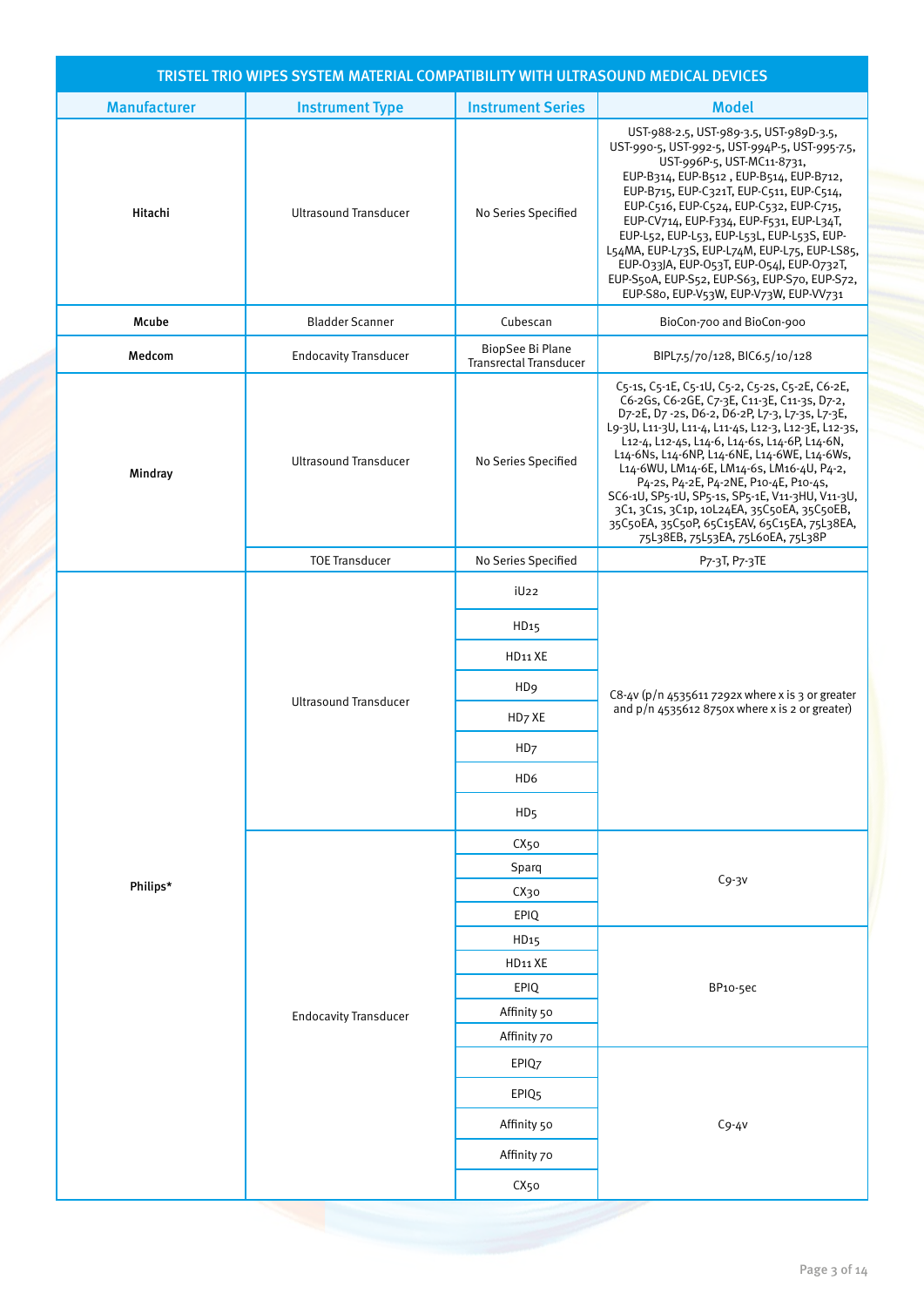|                     | TRISTEL TRIO WIPES SYSTEM MATERIAL COMPATIBILITY WITH ULTRASOUND MEDICAL DEVICES |                                            |                                                                                                                                                                                                                                                                                                                                                                                                                                                                                                                                                                                          |
|---------------------|----------------------------------------------------------------------------------|--------------------------------------------|------------------------------------------------------------------------------------------------------------------------------------------------------------------------------------------------------------------------------------------------------------------------------------------------------------------------------------------------------------------------------------------------------------------------------------------------------------------------------------------------------------------------------------------------------------------------------------------|
| <b>Manufacturer</b> | <b>Instrument Type</b>                                                           | <b>Instrument Series</b>                   | <b>Model</b>                                                                                                                                                                                                                                                                                                                                                                                                                                                                                                                                                                             |
| Hitachi             | <b>Ultrasound Transducer</b>                                                     | No Series Specified                        | UST-988-2.5, UST-989-3.5, UST-989D-3.5,<br>UST-990-5, UST-992-5, UST-994P-5, UST-995-7.5,<br>UST-996P-5, UST-MC11-8731,<br>EUP-B314, EUP-B512, EUP-B514, EUP-B712,<br>EUP-B715, EUP-C321T, EUP-C511, EUP-C514,<br>EUP-C516, EUP-C524, EUP-C532, EUP-C715,<br>EUP-CV714, EUP-F334, EUP-F531, EUP-L34T,<br>EUP-L52, EUP-L53, EUP-L53L, EUP-L53S, EUP-<br>L54MA, EUP-L73S, EUP-L74M, EUP-L75, EUP-LS85,<br>EUP-033JA, EUP-053T, EUP-054J, EUP-0732T,<br>EUP-S50A, EUP-S52, EUP-S63, EUP-S70, EUP-S72,<br>EUP-S80, EUP-V53W, EUP-V73W, EUP-VV731                                             |
| Mcube               | <b>Bladder Scanner</b>                                                           | Cubescan                                   | BioCon-700 and BioCon-900                                                                                                                                                                                                                                                                                                                                                                                                                                                                                                                                                                |
| Medcom              | <b>Endocavity Transducer</b>                                                     | BiopSee Bi Plane<br>Transrectal Transducer | BIPL7.5/70/128, BIC6.5/10/128                                                                                                                                                                                                                                                                                                                                                                                                                                                                                                                                                            |
| Mindray             | <b>Ultrasound Transducer</b>                                                     | No Series Specified                        | C5-1s, C5-1E, C5-1U, C5-2, C5-2s, C5-2E, C6-2E,<br>C6-2Gs, C6-2GE, C7-3E, C11-3E, C11-3s, D7-2,<br>D7-2E, D7-2s, D6-2, D6-2P, L7-3, L7-3s, L7-3E,<br>L9-3U, L11-3U, L11-4, L11-4s, L12-3, L12-3E, L12-3s,<br>L12-4, L12-4s, L14-6, L14-6s, L14-6P, L14-6N,<br>L14-6Ns, L14-6NP, L14-6NE, L14-6WE, L14-6Ws,<br>L14-6WU, LM14-6E, LM14-6s, LM16-4U, P4-2,<br>P4-2s, P4-2E, P4-2NE, P10-4E, P10-4s,<br>SC6-1U, SP5-1U, SP5-1s, SP5-1E, V11-3HU, V11-3U,<br>3C1, 3C1s, 3C1p, 10L24EA, 35C50EA, 35C50EB,<br>35C50EA, 35C50P, 65C15EAV, 65C15EA, 75L38EA,<br>75L38EB, 75L53EA, 75L60EA, 75L38P |
|                     | <b>TOE Transducer</b>                                                            | No Series Specified                        | P7-3T, P7-3TE                                                                                                                                                                                                                                                                                                                                                                                                                                                                                                                                                                            |
|                     |                                                                                  | iU <sub>22</sub>                           |                                                                                                                                                                                                                                                                                                                                                                                                                                                                                                                                                                                          |
|                     |                                                                                  | HD <sub>15</sub>                           | C8-4v (p/n 4535611 7292x where x is 3 or greater                                                                                                                                                                                                                                                                                                                                                                                                                                                                                                                                         |
|                     |                                                                                  | HD <sub>11</sub> XE                        |                                                                                                                                                                                                                                                                                                                                                                                                                                                                                                                                                                                          |
|                     |                                                                                  | H <sub>D</sub> <sub>9</sub>                |                                                                                                                                                                                                                                                                                                                                                                                                                                                                                                                                                                                          |
|                     | <b>Ultrasound Transducer</b>                                                     | HD <sub>7</sub> XE                         | and $p/n$ 4535612 8750x where x is 2 or greater)                                                                                                                                                                                                                                                                                                                                                                                                                                                                                                                                         |
|                     |                                                                                  | HD <sub>7</sub>                            |                                                                                                                                                                                                                                                                                                                                                                                                                                                                                                                                                                                          |
|                     |                                                                                  | HD <sub>6</sub>                            |                                                                                                                                                                                                                                                                                                                                                                                                                                                                                                                                                                                          |
|                     |                                                                                  | HD <sub>5</sub>                            |                                                                                                                                                                                                                                                                                                                                                                                                                                                                                                                                                                                          |
|                     |                                                                                  | CX <sub>50</sub>                           |                                                                                                                                                                                                                                                                                                                                                                                                                                                                                                                                                                                          |
|                     |                                                                                  | Sparq                                      |                                                                                                                                                                                                                                                                                                                                                                                                                                                                                                                                                                                          |
| Philips*            |                                                                                  | CX30                                       | $Cg-3v$                                                                                                                                                                                                                                                                                                                                                                                                                                                                                                                                                                                  |
|                     |                                                                                  | EPIQ                                       |                                                                                                                                                                                                                                                                                                                                                                                                                                                                                                                                                                                          |
|                     |                                                                                  | HD <sub>15</sub>                           |                                                                                                                                                                                                                                                                                                                                                                                                                                                                                                                                                                                          |
|                     |                                                                                  | HD11 XE                                    |                                                                                                                                                                                                                                                                                                                                                                                                                                                                                                                                                                                          |
|                     |                                                                                  | EPIQ                                       | BP10-5ec                                                                                                                                                                                                                                                                                                                                                                                                                                                                                                                                                                                 |
|                     | <b>Endocavity Transducer</b>                                                     | Affinity 50                                |                                                                                                                                                                                                                                                                                                                                                                                                                                                                                                                                                                                          |
|                     |                                                                                  | Affinity 70<br>EPIQ7                       |                                                                                                                                                                                                                                                                                                                                                                                                                                                                                                                                                                                          |
|                     |                                                                                  | EPIQ <sub>5</sub>                          |                                                                                                                                                                                                                                                                                                                                                                                                                                                                                                                                                                                          |
|                     |                                                                                  | Affinity 50                                | $Cg-4V$                                                                                                                                                                                                                                                                                                                                                                                                                                                                                                                                                                                  |
|                     |                                                                                  | Affinity 70                                |                                                                                                                                                                                                                                                                                                                                                                                                                                                                                                                                                                                          |
|                     |                                                                                  | CX <sub>50</sub>                           |                                                                                                                                                                                                                                                                                                                                                                                                                                                                                                                                                                                          |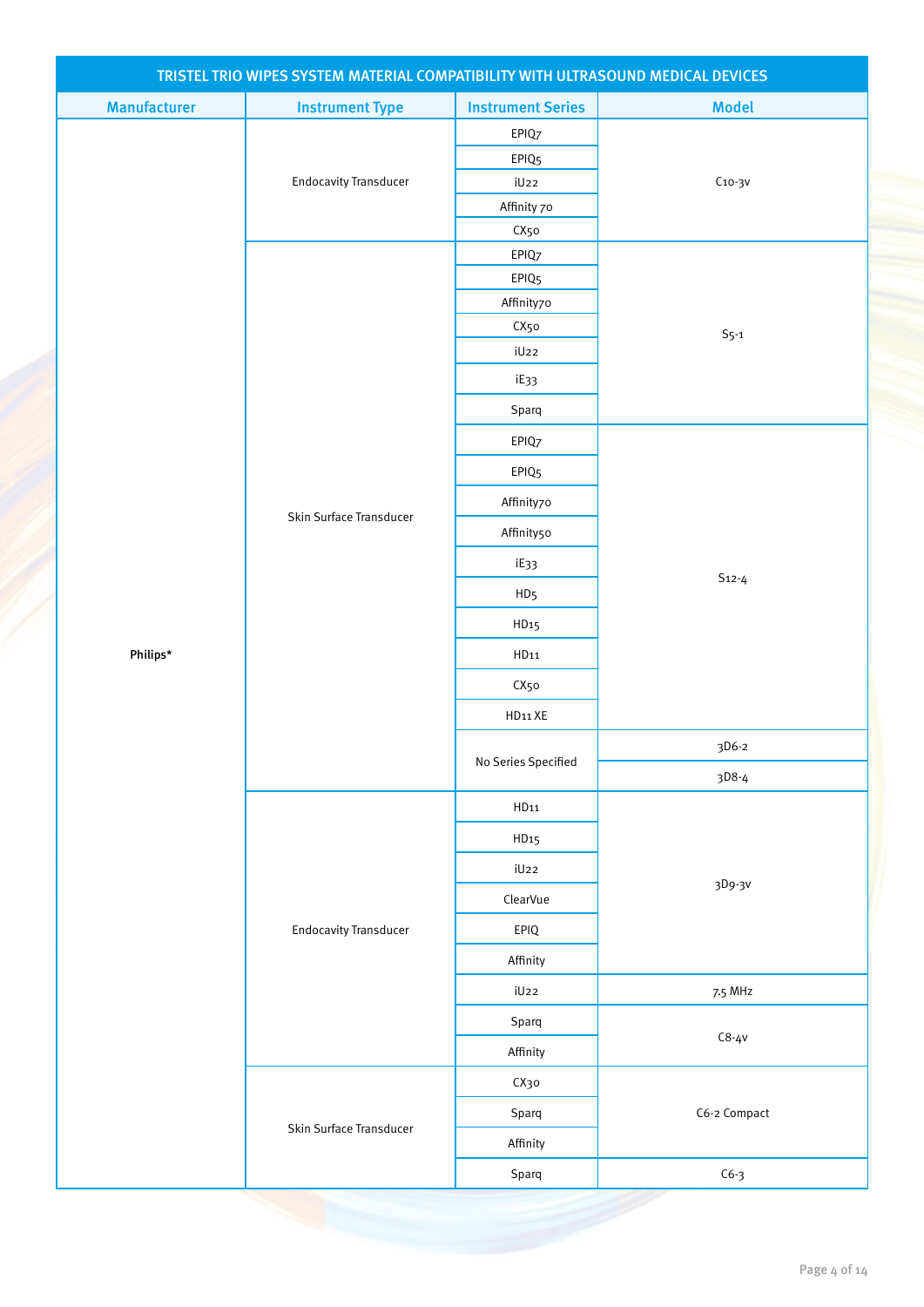|                     | TRISTEL TRIO WIPES SYSTEM MATERIAL COMPATIBILITY WITH ULTRASOUND MEDICAL DEVICES |                                 |              |
|---------------------|----------------------------------------------------------------------------------|---------------------------------|--------------|
| <b>Manufacturer</b> | <b>Instrument Type</b>                                                           | <b>Instrument Series</b>        | <b>Model</b> |
|                     |                                                                                  | EPIQ7                           |              |
|                     |                                                                                  | EPIQ <sub>5</sub>               |              |
|                     | <b>Endocavity Transducer</b>                                                     | iU22                            | $C_{10-3V}$  |
|                     |                                                                                  | Affinity 70                     |              |
|                     |                                                                                  | CX50                            |              |
|                     |                                                                                  | EPIQ7                           |              |
|                     |                                                                                  | EPIQ <sub>5</sub><br>Affinity70 |              |
|                     |                                                                                  | CX50                            |              |
|                     |                                                                                  | iU22                            | $S5-1$       |
|                     |                                                                                  | iE33                            |              |
|                     |                                                                                  | Sparq                           |              |
|                     |                                                                                  | EPIQ7                           |              |
|                     |                                                                                  | EPIQ <sub>5</sub>               |              |
|                     |                                                                                  | Affinity70                      |              |
|                     | Skin Surface Transducer                                                          | Affinity50                      |              |
|                     |                                                                                  | iE33                            | $S_{12-4}$   |
|                     |                                                                                  | HD <sub>5</sub>                 |              |
|                     |                                                                                  | HD <sub>15</sub>                |              |
| Philips*            |                                                                                  | HD11                            |              |
|                     |                                                                                  | CX50                            |              |
|                     |                                                                                  | HD11 XE                         |              |
|                     |                                                                                  | No Series Specified             | 3D6-2        |
|                     |                                                                                  |                                 | 3D8-4        |
|                     |                                                                                  | HD11                            |              |
|                     |                                                                                  | HD <sub>15</sub>                |              |
|                     |                                                                                  | iU22                            | 3D9-3V       |
|                     |                                                                                  | ClearVue                        |              |
|                     | <b>Endocavity Transducer</b>                                                     | EPIQ                            |              |
|                     |                                                                                  | Affinity                        |              |
|                     |                                                                                  | iU22                            | 7.5 MHz      |
|                     |                                                                                  | Sparq                           | $C8 - 4V$    |
|                     |                                                                                  | Affinity                        |              |
|                     |                                                                                  | СХзо                            |              |
|                     | Skin Surface Transducer                                                          | Sparq                           | C6-2 Compact |
|                     |                                                                                  | Affinity                        |              |
|                     |                                                                                  | Sparq                           | $C6-3$       |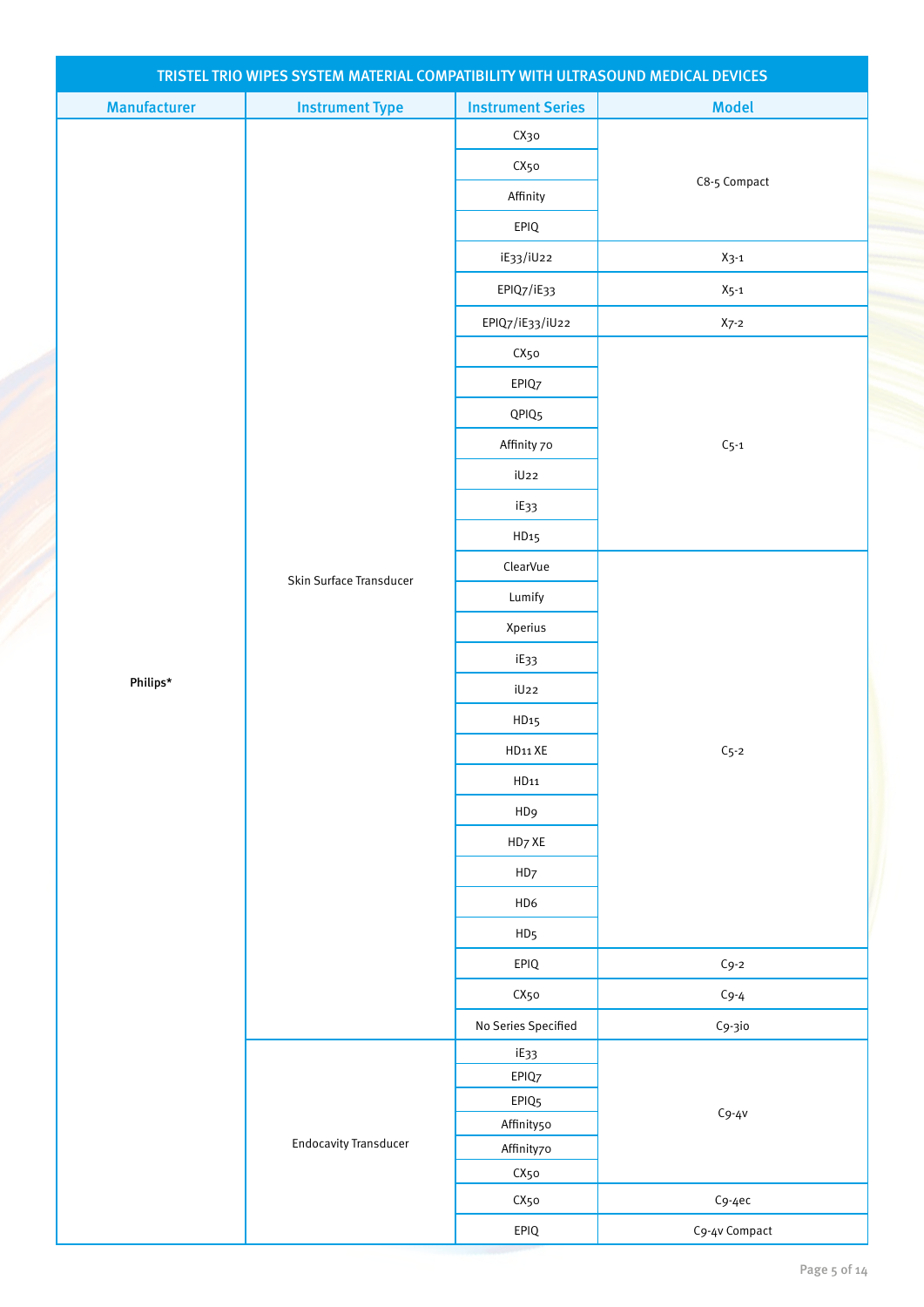| TRISTEL TRIO WIPES SYSTEM MATERIAL COMPATIBILITY WITH ULTRASOUND MEDICAL DEVICES |                              |                                 |               |  |
|----------------------------------------------------------------------------------|------------------------------|---------------------------------|---------------|--|
| <b>Manufacturer</b>                                                              | <b>Instrument Type</b>       | <b>Instrument Series</b>        | <b>Model</b>  |  |
|                                                                                  |                              | СХзо                            |               |  |
|                                                                                  |                              | CX50                            |               |  |
|                                                                                  |                              | Affinity                        | C8-5 Compact  |  |
|                                                                                  |                              | EPIQ                            |               |  |
|                                                                                  |                              | iE33/iU22                       | $X_3-1$       |  |
|                                                                                  |                              | EPIQ7/iE33                      | $X_{5-1}$     |  |
|                                                                                  |                              | EPIQ7/iE33/iU22                 | $X7-2$        |  |
|                                                                                  |                              | CX50                            |               |  |
|                                                                                  |                              | EPIQ7                           |               |  |
|                                                                                  |                              | QPIQ <sub>5</sub>               |               |  |
|                                                                                  |                              | Affinity 70                     | $C_{5-1}$     |  |
|                                                                                  |                              | iU22                            |               |  |
|                                                                                  |                              | iE33                            |               |  |
|                                                                                  |                              | HD <sub>15</sub>                |               |  |
|                                                                                  |                              | ClearVue                        |               |  |
|                                                                                  | Skin Surface Transducer      | Lumify                          |               |  |
|                                                                                  |                              | Xperius                         |               |  |
|                                                                                  |                              | iE33                            |               |  |
| Philips*                                                                         |                              | iU22                            |               |  |
|                                                                                  |                              | HD <sub>15</sub>                |               |  |
|                                                                                  |                              | $HD11$ XE                       | $C_{5-2}$     |  |
|                                                                                  |                              | HD11                            |               |  |
|                                                                                  |                              | HD <sub>9</sub>                 |               |  |
|                                                                                  |                              | HD7 XE                          |               |  |
|                                                                                  |                              | HD7                             |               |  |
|                                                                                  |                              | HD6                             |               |  |
|                                                                                  |                              | HD <sub>5</sub>                 |               |  |
|                                                                                  |                              | EPIQ                            | $Cg-2$        |  |
|                                                                                  |                              | CX50                            | $C_9 - 4$     |  |
|                                                                                  |                              | No Series Specified             | C9-3io        |  |
|                                                                                  |                              | iE33                            |               |  |
|                                                                                  |                              | EPIQ7                           |               |  |
|                                                                                  |                              | EPIQ <sub>5</sub><br>Affinity50 | $Cg-4V$       |  |
|                                                                                  | <b>Endocavity Transducer</b> | Affinity70                      |               |  |
|                                                                                  |                              | CX50                            |               |  |
|                                                                                  |                              | CX50                            | $Cg-4ec$      |  |
|                                                                                  |                              | $EPIQ$                          | C9-4v Compact |  |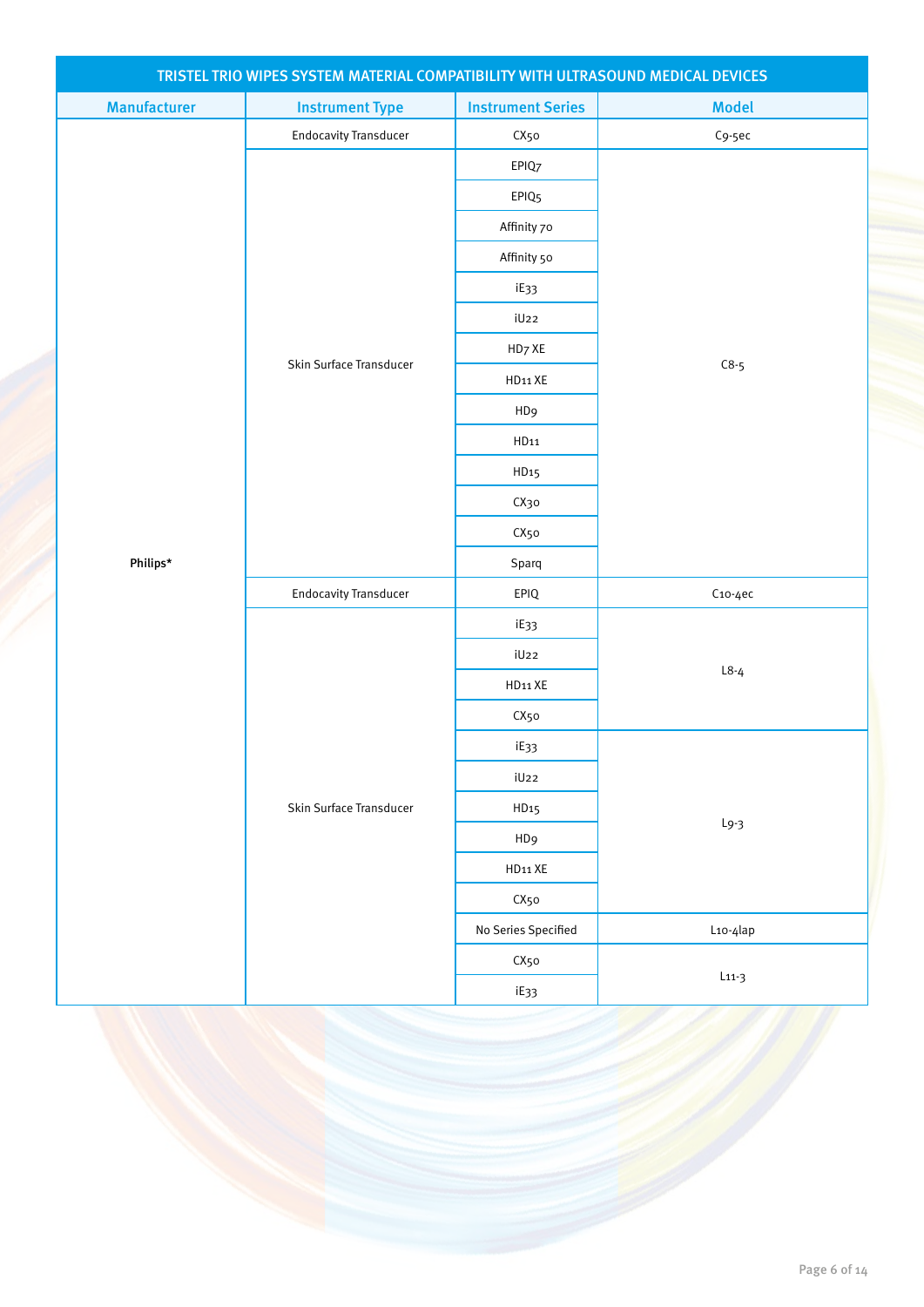| TRISTEL TRIO WIPES SYSTEM MATERIAL COMPATIBILITY WITH ULTRASOUND MEDICAL DEVICES |                              |                          |              |  |
|----------------------------------------------------------------------------------|------------------------------|--------------------------|--------------|--|
| <b>Manufacturer</b>                                                              | <b>Instrument Type</b>       | <b>Instrument Series</b> | <b>Model</b> |  |
|                                                                                  | <b>Endocavity Transducer</b> | CX50                     | $C9-5ec$     |  |
|                                                                                  |                              | EPIQ7                    |              |  |
|                                                                                  |                              | EPIQ <sub>5</sub>        |              |  |
|                                                                                  |                              | Affinity 70              |              |  |
|                                                                                  |                              | Affinity 50              |              |  |
|                                                                                  |                              | iE33                     |              |  |
|                                                                                  |                              | iU22                     |              |  |
|                                                                                  | Skin Surface Transducer      | HD7 XE                   |              |  |
|                                                                                  |                              | HD11 XE                  | $C8-5$       |  |
|                                                                                  |                              | HD <sub>9</sub>          |              |  |
|                                                                                  |                              | HD11                     |              |  |
|                                                                                  |                              | HD <sub>15</sub>         |              |  |
|                                                                                  |                              | СХзо                     |              |  |
|                                                                                  |                              | CX50                     |              |  |
| Philips*                                                                         |                              | Sparq                    |              |  |
|                                                                                  | <b>Endocavity Transducer</b> | EPIQ                     | $Co-4ec$     |  |
|                                                                                  |                              | iE33                     |              |  |
|                                                                                  |                              | iU22                     |              |  |
|                                                                                  |                              | HD11 XE                  | $L8-4$       |  |
|                                                                                  |                              | CX50                     |              |  |
|                                                                                  |                              | iE33                     |              |  |
|                                                                                  |                              | iU22                     |              |  |
|                                                                                  | Skin Surface Transducer      | HD <sub>15</sub>         |              |  |
|                                                                                  |                              | HD <sub>9</sub>          | $L9-3$       |  |
|                                                                                  |                              | HD11 XE                  |              |  |
|                                                                                  |                              | CX50                     |              |  |
|                                                                                  |                              | No Series Specified      | L10-4lap     |  |
|                                                                                  |                              | CX50                     |              |  |
|                                                                                  |                              | iE33                     | $L11-3$      |  |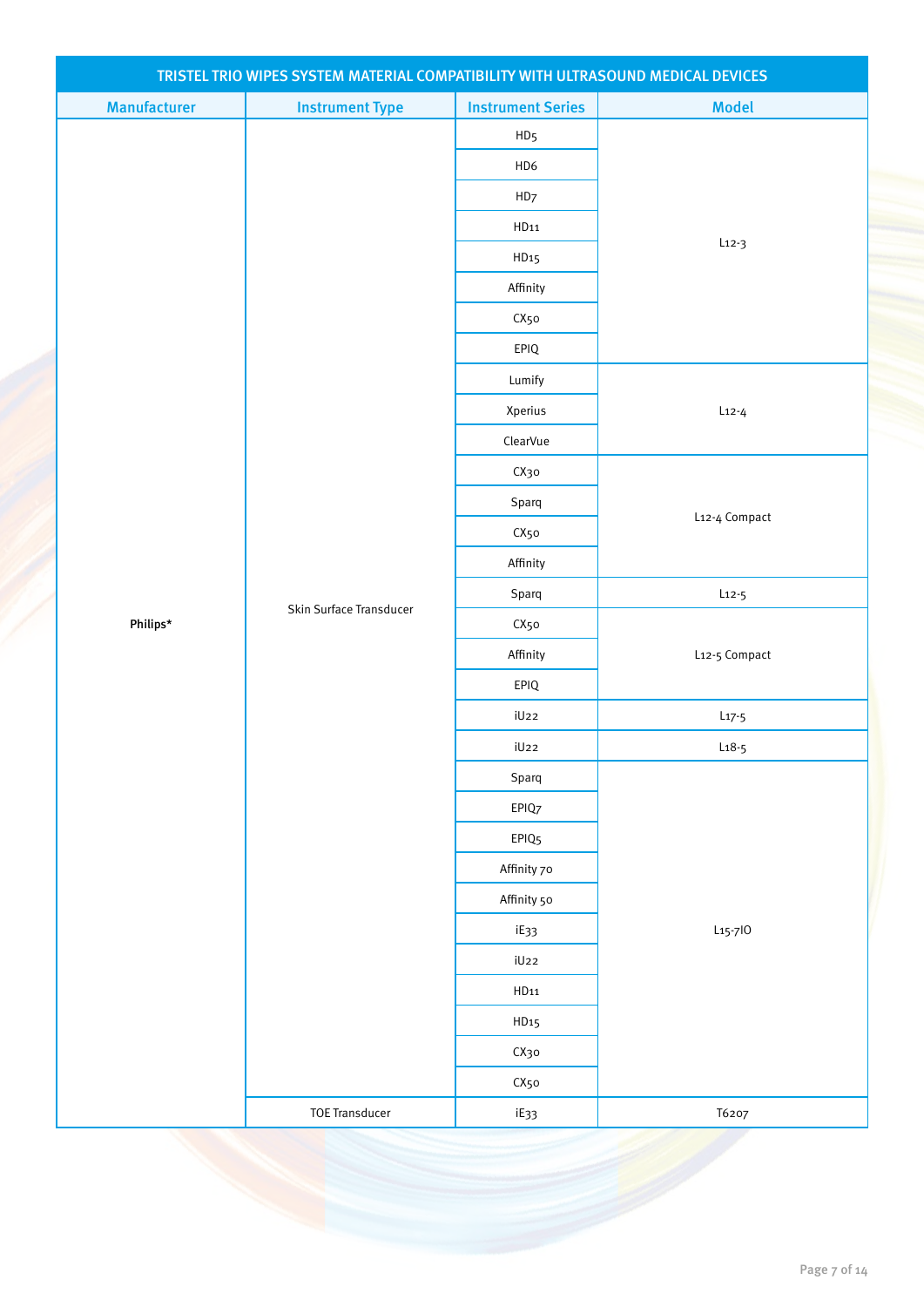| TRISTEL TRIO WIPES SYSTEM MATERIAL COMPATIBILITY WITH ULTRASOUND MEDICAL DEVICES |                         |                          |                      |  |
|----------------------------------------------------------------------------------|-------------------------|--------------------------|----------------------|--|
| <b>Manufacturer</b>                                                              | <b>Instrument Type</b>  | <b>Instrument Series</b> | <b>Model</b>         |  |
|                                                                                  |                         | HD <sub>5</sub>          |                      |  |
|                                                                                  |                         | HD6                      |                      |  |
|                                                                                  |                         | HD7                      | $L12-3$              |  |
|                                                                                  |                         | HD11                     |                      |  |
|                                                                                  |                         | HD <sub>15</sub>         |                      |  |
|                                                                                  |                         | Affinity                 |                      |  |
|                                                                                  |                         | CX50                     |                      |  |
|                                                                                  |                         | EPIQ                     |                      |  |
|                                                                                  |                         | Lumify                   |                      |  |
|                                                                                  |                         | Xperius                  | $L$ 12-4             |  |
|                                                                                  |                         | ClearVue                 |                      |  |
|                                                                                  |                         | СХзо                     |                      |  |
|                                                                                  |                         | Sparq                    | L12-4 Compact        |  |
|                                                                                  | Skin Surface Transducer | CX50                     |                      |  |
|                                                                                  |                         | Affinity                 |                      |  |
|                                                                                  |                         | Sparq                    | $L$ 12-5             |  |
| Philips*                                                                         |                         | CX50                     |                      |  |
|                                                                                  |                         | Affinity                 | L12-5 Compact        |  |
|                                                                                  |                         | EPIQ                     |                      |  |
|                                                                                  |                         | iU22                     | $L_{17-5}$           |  |
|                                                                                  |                         | iU22                     | $L18-5$              |  |
|                                                                                  |                         | Sparq                    |                      |  |
|                                                                                  |                         | EPIQ7                    |                      |  |
|                                                                                  |                         | EPIQ <sub>5</sub>        |                      |  |
|                                                                                  |                         | Affinity 70              |                      |  |
|                                                                                  |                         | Affinity 50              |                      |  |
|                                                                                  |                         | iE33                     | L <sub>15</sub> -710 |  |
|                                                                                  |                         | iU22                     |                      |  |
|                                                                                  |                         | HD11                     |                      |  |
|                                                                                  |                         | HD <sub>15</sub>         |                      |  |
|                                                                                  |                         | СХзо                     |                      |  |
|                                                                                  |                         | CX50                     |                      |  |
|                                                                                  | <b>TOE Transducer</b>   | iE33                     | T6207                |  |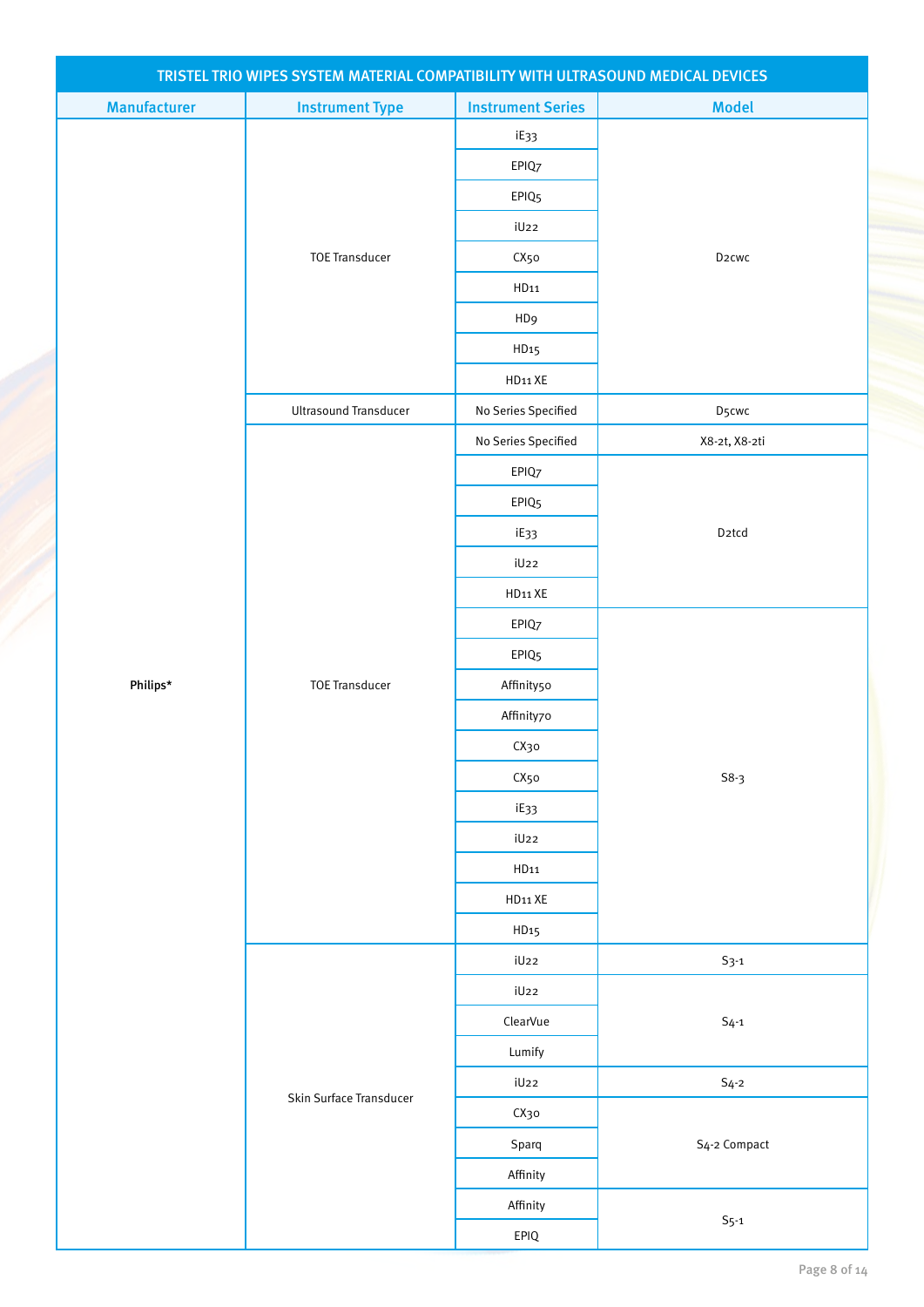| <b>Manufacturer</b><br><b>Instrument Series</b><br><b>Model</b><br><b>Instrument Type</b><br>iE33<br>EPIQ7<br>EPIQ <sub>5</sub><br>iU22<br><b>TOE Transducer</b><br>D <sub>2</sub> cwc<br>CX50<br>HD <sub>11</sub><br>HD9<br>HD <sub>15</sub><br>HD11 XE<br><b>Ultrasound Transducer</b><br>No Series Specified<br>D5cwc<br>No Series Specified<br>X8-2t, X8-2ti<br>EPIQ7<br>EPIQ <sub>5</sub><br>D <sub>2</sub> tcd<br>iE33<br>iU22<br>HD11 XE<br>EPIQ7<br>EPIQ <sub>5</sub><br>Philips*<br><b>TOE Transducer</b><br>Affinity50<br>Affinity70<br>СХзо<br>CX50<br>$S8-3$<br>iE33<br>iU22<br>HD11<br>HD11 XE<br>HD <sub>15</sub><br>iU22<br>$S_{3-1}$<br>iU22<br>ClearVue<br>$S_{4-1}$<br>Lumify<br>iU22<br>$S_4-2$<br>Skin Surface Transducer<br>СХзо<br>S <sub>4</sub> -2 Compact<br>Sparq<br>Affinity<br>Affinity<br>$S_{5-1}$<br>EPIQ |  | TRISTEL TRIO WIPES SYSTEM MATERIAL COMPATIBILITY WITH ULTRASOUND MEDICAL DEVICES |  |  |
|------------------------------------------------------------------------------------------------------------------------------------------------------------------------------------------------------------------------------------------------------------------------------------------------------------------------------------------------------------------------------------------------------------------------------------------------------------------------------------------------------------------------------------------------------------------------------------------------------------------------------------------------------------------------------------------------------------------------------------------------------------------------------------------------------------------------------------------|--|----------------------------------------------------------------------------------|--|--|
|                                                                                                                                                                                                                                                                                                                                                                                                                                                                                                                                                                                                                                                                                                                                                                                                                                          |  |                                                                                  |  |  |
|                                                                                                                                                                                                                                                                                                                                                                                                                                                                                                                                                                                                                                                                                                                                                                                                                                          |  |                                                                                  |  |  |
|                                                                                                                                                                                                                                                                                                                                                                                                                                                                                                                                                                                                                                                                                                                                                                                                                                          |  |                                                                                  |  |  |
|                                                                                                                                                                                                                                                                                                                                                                                                                                                                                                                                                                                                                                                                                                                                                                                                                                          |  |                                                                                  |  |  |
|                                                                                                                                                                                                                                                                                                                                                                                                                                                                                                                                                                                                                                                                                                                                                                                                                                          |  |                                                                                  |  |  |
|                                                                                                                                                                                                                                                                                                                                                                                                                                                                                                                                                                                                                                                                                                                                                                                                                                          |  |                                                                                  |  |  |
|                                                                                                                                                                                                                                                                                                                                                                                                                                                                                                                                                                                                                                                                                                                                                                                                                                          |  |                                                                                  |  |  |
|                                                                                                                                                                                                                                                                                                                                                                                                                                                                                                                                                                                                                                                                                                                                                                                                                                          |  |                                                                                  |  |  |
|                                                                                                                                                                                                                                                                                                                                                                                                                                                                                                                                                                                                                                                                                                                                                                                                                                          |  |                                                                                  |  |  |
|                                                                                                                                                                                                                                                                                                                                                                                                                                                                                                                                                                                                                                                                                                                                                                                                                                          |  |                                                                                  |  |  |
|                                                                                                                                                                                                                                                                                                                                                                                                                                                                                                                                                                                                                                                                                                                                                                                                                                          |  |                                                                                  |  |  |
|                                                                                                                                                                                                                                                                                                                                                                                                                                                                                                                                                                                                                                                                                                                                                                                                                                          |  |                                                                                  |  |  |
|                                                                                                                                                                                                                                                                                                                                                                                                                                                                                                                                                                                                                                                                                                                                                                                                                                          |  |                                                                                  |  |  |
|                                                                                                                                                                                                                                                                                                                                                                                                                                                                                                                                                                                                                                                                                                                                                                                                                                          |  |                                                                                  |  |  |
|                                                                                                                                                                                                                                                                                                                                                                                                                                                                                                                                                                                                                                                                                                                                                                                                                                          |  |                                                                                  |  |  |
|                                                                                                                                                                                                                                                                                                                                                                                                                                                                                                                                                                                                                                                                                                                                                                                                                                          |  |                                                                                  |  |  |
|                                                                                                                                                                                                                                                                                                                                                                                                                                                                                                                                                                                                                                                                                                                                                                                                                                          |  |                                                                                  |  |  |
|                                                                                                                                                                                                                                                                                                                                                                                                                                                                                                                                                                                                                                                                                                                                                                                                                                          |  |                                                                                  |  |  |
|                                                                                                                                                                                                                                                                                                                                                                                                                                                                                                                                                                                                                                                                                                                                                                                                                                          |  |                                                                                  |  |  |
|                                                                                                                                                                                                                                                                                                                                                                                                                                                                                                                                                                                                                                                                                                                                                                                                                                          |  |                                                                                  |  |  |
|                                                                                                                                                                                                                                                                                                                                                                                                                                                                                                                                                                                                                                                                                                                                                                                                                                          |  |                                                                                  |  |  |
|                                                                                                                                                                                                                                                                                                                                                                                                                                                                                                                                                                                                                                                                                                                                                                                                                                          |  |                                                                                  |  |  |
|                                                                                                                                                                                                                                                                                                                                                                                                                                                                                                                                                                                                                                                                                                                                                                                                                                          |  |                                                                                  |  |  |
|                                                                                                                                                                                                                                                                                                                                                                                                                                                                                                                                                                                                                                                                                                                                                                                                                                          |  |                                                                                  |  |  |
|                                                                                                                                                                                                                                                                                                                                                                                                                                                                                                                                                                                                                                                                                                                                                                                                                                          |  |                                                                                  |  |  |
|                                                                                                                                                                                                                                                                                                                                                                                                                                                                                                                                                                                                                                                                                                                                                                                                                                          |  |                                                                                  |  |  |
|                                                                                                                                                                                                                                                                                                                                                                                                                                                                                                                                                                                                                                                                                                                                                                                                                                          |  |                                                                                  |  |  |
|                                                                                                                                                                                                                                                                                                                                                                                                                                                                                                                                                                                                                                                                                                                                                                                                                                          |  |                                                                                  |  |  |
|                                                                                                                                                                                                                                                                                                                                                                                                                                                                                                                                                                                                                                                                                                                                                                                                                                          |  |                                                                                  |  |  |
|                                                                                                                                                                                                                                                                                                                                                                                                                                                                                                                                                                                                                                                                                                                                                                                                                                          |  |                                                                                  |  |  |
|                                                                                                                                                                                                                                                                                                                                                                                                                                                                                                                                                                                                                                                                                                                                                                                                                                          |  |                                                                                  |  |  |
|                                                                                                                                                                                                                                                                                                                                                                                                                                                                                                                                                                                                                                                                                                                                                                                                                                          |  |                                                                                  |  |  |
|                                                                                                                                                                                                                                                                                                                                                                                                                                                                                                                                                                                                                                                                                                                                                                                                                                          |  |                                                                                  |  |  |
|                                                                                                                                                                                                                                                                                                                                                                                                                                                                                                                                                                                                                                                                                                                                                                                                                                          |  |                                                                                  |  |  |
|                                                                                                                                                                                                                                                                                                                                                                                                                                                                                                                                                                                                                                                                                                                                                                                                                                          |  |                                                                                  |  |  |
|                                                                                                                                                                                                                                                                                                                                                                                                                                                                                                                                                                                                                                                                                                                                                                                                                                          |  |                                                                                  |  |  |
|                                                                                                                                                                                                                                                                                                                                                                                                                                                                                                                                                                                                                                                                                                                                                                                                                                          |  |                                                                                  |  |  |
|                                                                                                                                                                                                                                                                                                                                                                                                                                                                                                                                                                                                                                                                                                                                                                                                                                          |  |                                                                                  |  |  |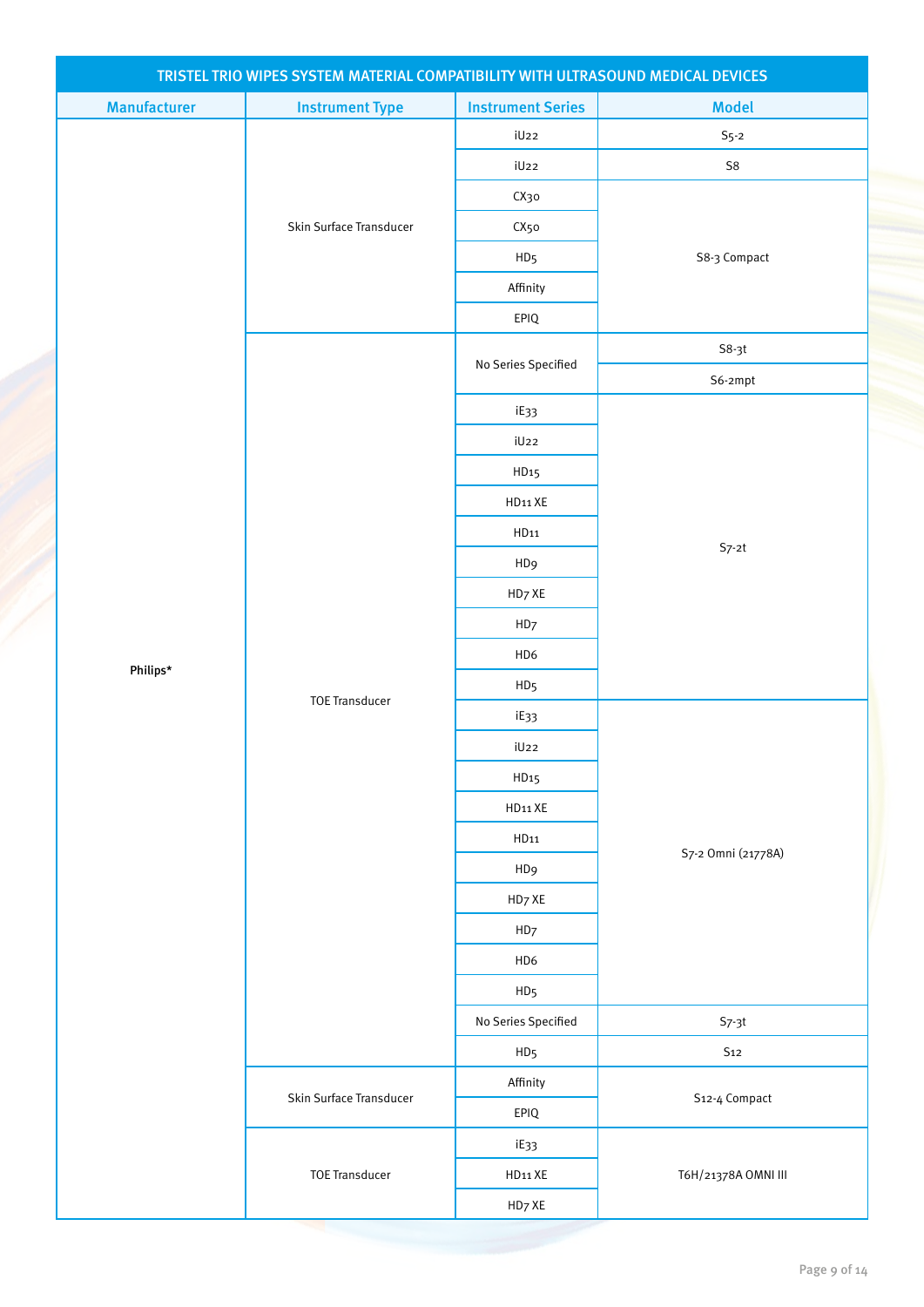| TRISTEL TRIO WIPES SYSTEM MATERIAL COMPATIBILITY WITH ULTRASOUND MEDICAL DEVICES |                         |                          |                     |  |
|----------------------------------------------------------------------------------|-------------------------|--------------------------|---------------------|--|
| <b>Manufacturer</b>                                                              | <b>Instrument Type</b>  | <b>Instrument Series</b> | <b>Model</b>        |  |
|                                                                                  |                         | iU22                     | $S5$ -2             |  |
|                                                                                  |                         | iU22                     | ${\sf S8}$          |  |
|                                                                                  |                         | СХзо                     |                     |  |
|                                                                                  | Skin Surface Transducer | CX50                     |                     |  |
|                                                                                  |                         | HD <sub>5</sub>          | S8-3 Compact        |  |
|                                                                                  |                         | Affinity                 |                     |  |
|                                                                                  |                         | EPIQ                     |                     |  |
|                                                                                  |                         | No Series Specified      | $S8-3t$             |  |
|                                                                                  |                         |                          | S6-2mpt             |  |
|                                                                                  |                         | iE33                     |                     |  |
|                                                                                  |                         | iU22                     |                     |  |
|                                                                                  |                         | HD <sub>15</sub>         |                     |  |
|                                                                                  |                         | HD11 XE                  |                     |  |
|                                                                                  |                         | HD11                     |                     |  |
|                                                                                  |                         | HD <sub>9</sub>          | $S7-2t$             |  |
|                                                                                  |                         | HD7 XE                   |                     |  |
|                                                                                  |                         | HD7                      |                     |  |
| Philips*                                                                         |                         | HD6                      |                     |  |
|                                                                                  |                         | HD <sub>5</sub>          |                     |  |
|                                                                                  | <b>TOE Transducer</b>   | iE33                     |                     |  |
|                                                                                  |                         | iU22                     |                     |  |
|                                                                                  |                         | HD <sub>15</sub>         |                     |  |
|                                                                                  |                         | HD11 XE                  |                     |  |
|                                                                                  |                         | HD11                     |                     |  |
|                                                                                  |                         | HD <sub>9</sub>          | S7-2 Omni (21778A)  |  |
|                                                                                  |                         | HD7 XE                   |                     |  |
|                                                                                  |                         | HD7                      |                     |  |
|                                                                                  |                         | HD6                      |                     |  |
|                                                                                  |                         | HD <sub>5</sub>          |                     |  |
|                                                                                  |                         | No Series Specified      | $S7-3t$             |  |
|                                                                                  |                         | HD <sub>5</sub>          | $\mathsf{S12}$      |  |
|                                                                                  | Skin Surface Transducer | Affinity                 |                     |  |
|                                                                                  |                         | EPIQ                     | S12-4 Compact       |  |
|                                                                                  |                         | iE33                     |                     |  |
|                                                                                  | <b>TOE Transducer</b>   | HD11 XE                  | T6H/21378A OMNI III |  |
|                                                                                  |                         | HD7 XE                   |                     |  |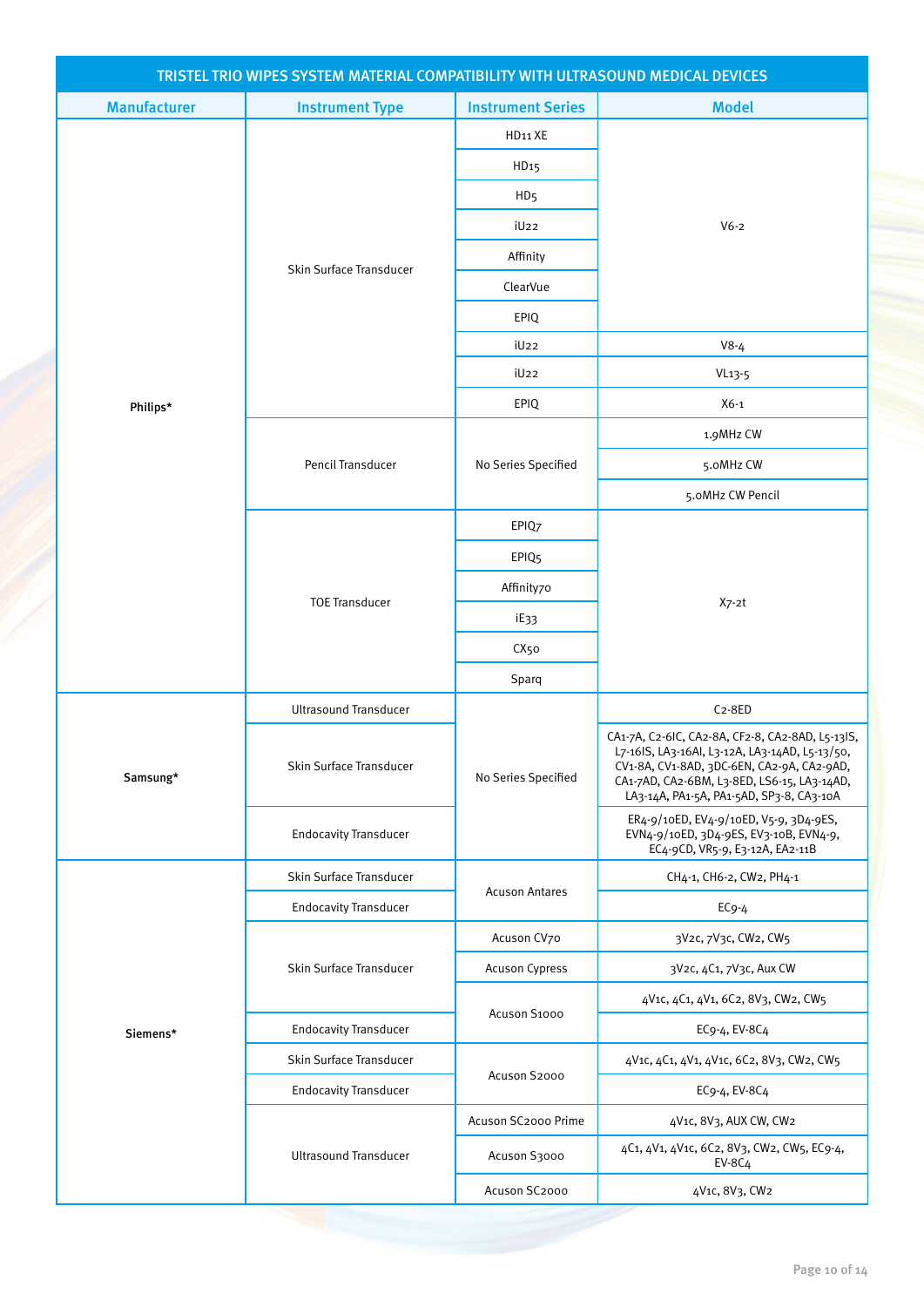| TRISTEL TRIO WIPES SYSTEM MATERIAL COMPATIBILITY WITH ULTRASOUND MEDICAL DEVICES |                              |                          |                                                                                                                                                                                                                                             |  |
|----------------------------------------------------------------------------------|------------------------------|--------------------------|---------------------------------------------------------------------------------------------------------------------------------------------------------------------------------------------------------------------------------------------|--|
| <b>Manufacturer</b>                                                              | <b>Instrument Type</b>       | <b>Instrument Series</b> | <b>Model</b>                                                                                                                                                                                                                                |  |
|                                                                                  |                              | HD <sub>11</sub> XE      |                                                                                                                                                                                                                                             |  |
|                                                                                  |                              | HD <sub>15</sub>         |                                                                                                                                                                                                                                             |  |
|                                                                                  |                              | HD <sub>5</sub>          |                                                                                                                                                                                                                                             |  |
|                                                                                  |                              | iU <sub>22</sub>         | $V6-2$                                                                                                                                                                                                                                      |  |
|                                                                                  | Skin Surface Transducer      | Affinity                 |                                                                                                                                                                                                                                             |  |
|                                                                                  |                              | ClearVue                 |                                                                                                                                                                                                                                             |  |
|                                                                                  |                              | EPIQ                     |                                                                                                                                                                                                                                             |  |
|                                                                                  |                              | iU <sub>22</sub>         | $V8-4$                                                                                                                                                                                                                                      |  |
|                                                                                  |                              | iU <sub>22</sub>         | $VI3-5$                                                                                                                                                                                                                                     |  |
| Philips*                                                                         |                              | EPIQ                     | $X6-1$                                                                                                                                                                                                                                      |  |
|                                                                                  |                              |                          | 1.9MHz CW                                                                                                                                                                                                                                   |  |
|                                                                                  | Pencil Transducer            | No Series Specified      | 5.0MHz CW                                                                                                                                                                                                                                   |  |
|                                                                                  |                              |                          | 5.0MHz CW Pencil                                                                                                                                                                                                                            |  |
|                                                                                  |                              | EPIQ7                    |                                                                                                                                                                                                                                             |  |
|                                                                                  |                              | EPIQ <sub>5</sub>        |                                                                                                                                                                                                                                             |  |
|                                                                                  | <b>TOE Transducer</b>        | Affinity70               |                                                                                                                                                                                                                                             |  |
|                                                                                  |                              | iE33                     | $X7-2t$                                                                                                                                                                                                                                     |  |
|                                                                                  |                              | CX <sub>50</sub>         |                                                                                                                                                                                                                                             |  |
|                                                                                  |                              | Sparq                    |                                                                                                                                                                                                                                             |  |
|                                                                                  | <b>Ultrasound Transducer</b> |                          | $C_2-8ED$                                                                                                                                                                                                                                   |  |
| Samsung*                                                                         | Skin Surface Transducer      | No Series Specified      | CA1-7A, C2-6IC, CA2-8A, CF2-8, CA2-8AD, L5-13IS,<br>L7-16IS, LA3-16AI, L3-12A, LA3-14AD, L5-13/50,<br>CV1-8A, CV1-8AD, 3DC-6EN, CA2-9A, CA2-9AD,<br>CA1-7AD, CA2-6BM, L3-8ED, LS6-15, LA3-14AD,<br>LA3-14A, PA1-5A, PA1-5AD, SP3-8, CA3-10A |  |
|                                                                                  | <b>Endocavity Transducer</b> |                          | ER4-9/10ED, EV4-9/10ED, V5-9, 3D4-9ES,<br>EVN4-9/10ED, 3D4-9ES, EV3-10B, EVN4-9,<br>EC4-9CD, VR5-9, E3-12A, EA2-11B                                                                                                                         |  |
|                                                                                  | Skin Surface Transducer      |                          | CH4-1, CH6-2, CW2, PH4-1                                                                                                                                                                                                                    |  |
|                                                                                  | <b>Endocavity Transducer</b> | <b>Acuson Antares</b>    | $ECg-4$                                                                                                                                                                                                                                     |  |
|                                                                                  |                              | Acuson CV70              | 3V2c, 7V3c, CW2, CW5                                                                                                                                                                                                                        |  |
|                                                                                  | Skin Surface Transducer      | Acuson Cypress           | 3V2c, 4C1, 7V3c, Aux CW                                                                                                                                                                                                                     |  |
|                                                                                  |                              |                          | 4V1c, 4C1, 4V1, 6C2, 8V3, CW2, CW5                                                                                                                                                                                                          |  |
| Siemens*                                                                         | <b>Endocavity Transducer</b> | Acuson S1000             | EC9-4, EV-8C4                                                                                                                                                                                                                               |  |
|                                                                                  | Skin Surface Transducer      |                          | 4V1c, 4C1, 4V1, 4V1c, 6C2, 8V3, CW2, CW5                                                                                                                                                                                                    |  |
|                                                                                  | <b>Endocavity Transducer</b> | Acuson S2000             | EC9-4, EV-8C4                                                                                                                                                                                                                               |  |
|                                                                                  |                              | Acuson SC2000 Prime      | 4V1c, 8V3, AUX CW, CW2                                                                                                                                                                                                                      |  |
|                                                                                  | <b>Ultrasound Transducer</b> | Acuson S3000             | 4C1, 4V1, 4V1c, 6C2, 8V3, CW2, CW5, EC9-4,<br><b>EV-8C4</b>                                                                                                                                                                                 |  |
|                                                                                  |                              | Acuson SC2000            | 4V1c, 8V3, CW2                                                                                                                                                                                                                              |  |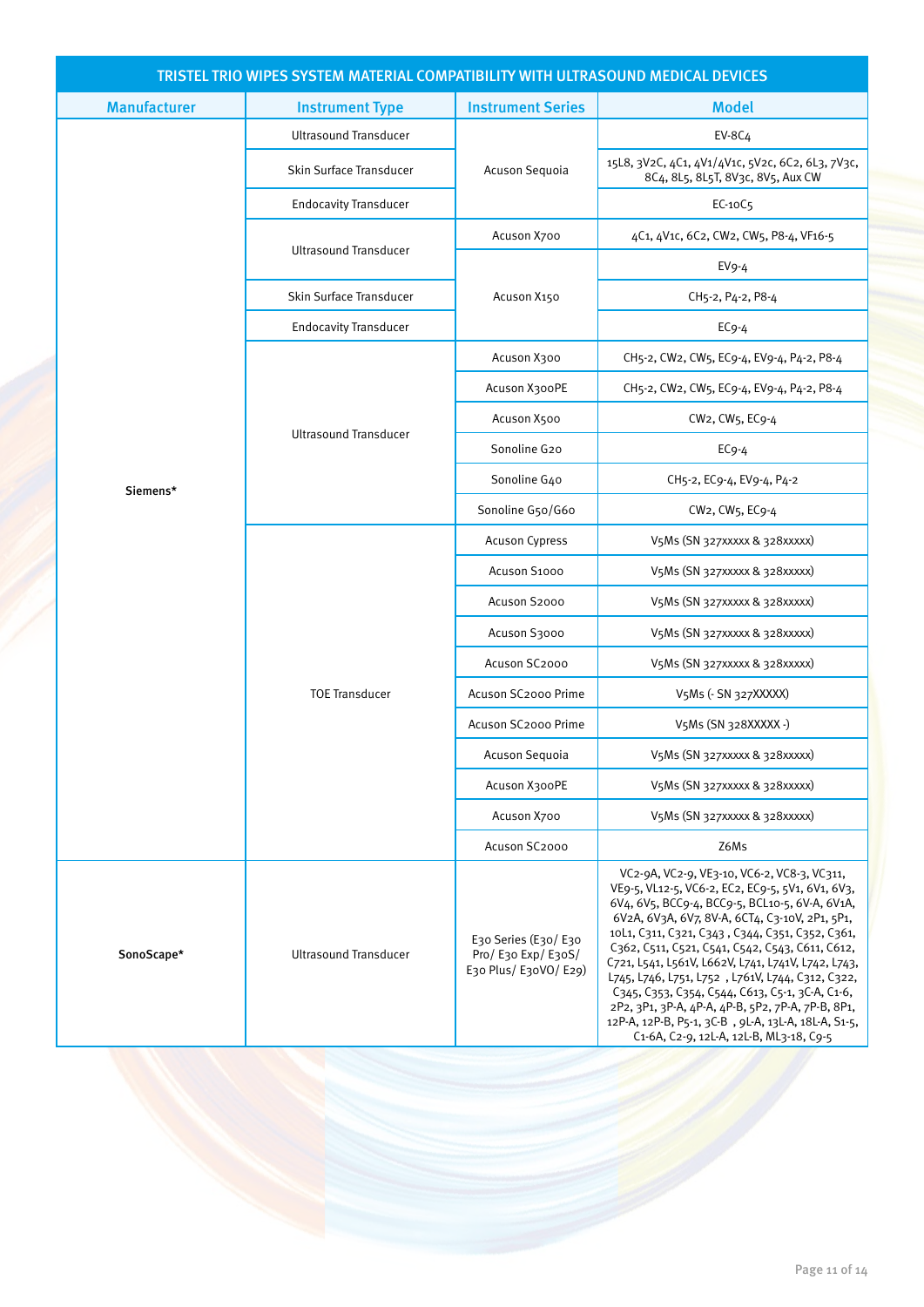| TRISTEL TRIO WIPES SYSTEM MATERIAL COMPATIBILITY WITH ULTRASOUND MEDICAL DEVICES |                              |                                                                   |                                                                                                                                                                                                                                                                                                                                                                                                                                                                                                                                                                                                                               |  |
|----------------------------------------------------------------------------------|------------------------------|-------------------------------------------------------------------|-------------------------------------------------------------------------------------------------------------------------------------------------------------------------------------------------------------------------------------------------------------------------------------------------------------------------------------------------------------------------------------------------------------------------------------------------------------------------------------------------------------------------------------------------------------------------------------------------------------------------------|--|
| <b>Manufacturer</b>                                                              | <b>Instrument Type</b>       | <b>Instrument Series</b>                                          | <b>Model</b>                                                                                                                                                                                                                                                                                                                                                                                                                                                                                                                                                                                                                  |  |
|                                                                                  | <b>Ultrasound Transducer</b> |                                                                   | <b>EV-8C4</b>                                                                                                                                                                                                                                                                                                                                                                                                                                                                                                                                                                                                                 |  |
|                                                                                  | Skin Surface Transducer      | Acuson Sequoia                                                    | 15L8, 3V2C, 4C1, 4V1/4V1c, 5V2c, 6C2, 6L3, 7V3c,<br>8C4, 8L5, 8L5T, 8V3c, 8V5, Aux CW                                                                                                                                                                                                                                                                                                                                                                                                                                                                                                                                         |  |
|                                                                                  | <b>Endocavity Transducer</b> |                                                                   | EC-10C5                                                                                                                                                                                                                                                                                                                                                                                                                                                                                                                                                                                                                       |  |
|                                                                                  | <b>Ultrasound Transducer</b> | Acuson X700                                                       | 4C1, 4V1c, 6C2, CW2, CW5, P8-4, VF16-5                                                                                                                                                                                                                                                                                                                                                                                                                                                                                                                                                                                        |  |
|                                                                                  |                              |                                                                   | $EV9-4$                                                                                                                                                                                                                                                                                                                                                                                                                                                                                                                                                                                                                       |  |
|                                                                                  | Skin Surface Transducer      | Acuson X150                                                       | CH5-2, P4-2, P8-4                                                                                                                                                                                                                                                                                                                                                                                                                                                                                                                                                                                                             |  |
|                                                                                  | <b>Endocavity Transducer</b> |                                                                   | $EC9-4$                                                                                                                                                                                                                                                                                                                                                                                                                                                                                                                                                                                                                       |  |
|                                                                                  |                              | Acuson X300                                                       | CH5-2, CW2, CW5, EC9-4, EV9-4, P4-2, P8-4                                                                                                                                                                                                                                                                                                                                                                                                                                                                                                                                                                                     |  |
|                                                                                  |                              | Acuson X300PE                                                     | CH5-2, CW2, CW5, EC9-4, EV9-4, P4-2, P8-4                                                                                                                                                                                                                                                                                                                                                                                                                                                                                                                                                                                     |  |
|                                                                                  |                              | Acuson X500                                                       | $CW_2$ , $CW_5$ , $EC_9$ -4                                                                                                                                                                                                                                                                                                                                                                                                                                                                                                                                                                                                   |  |
|                                                                                  | <b>Ultrasound Transducer</b> | Sonoline G20                                                      | $EC9-4$                                                                                                                                                                                                                                                                                                                                                                                                                                                                                                                                                                                                                       |  |
| Siemens*                                                                         |                              | Sonoline G40                                                      | CH5-2, EC9-4, EV9-4, P4-2                                                                                                                                                                                                                                                                                                                                                                                                                                                                                                                                                                                                     |  |
|                                                                                  |                              | Sonoline G50/G60                                                  | CW2, CW5, EC9-4                                                                                                                                                                                                                                                                                                                                                                                                                                                                                                                                                                                                               |  |
|                                                                                  |                              | <b>Acuson Cypress</b>                                             | V5Ms (SN 327xxxxx & 328xxxxx)                                                                                                                                                                                                                                                                                                                                                                                                                                                                                                                                                                                                 |  |
|                                                                                  |                              | Acuson S1000                                                      | V5Ms (SN 327XXXXX & 328XXXXX)                                                                                                                                                                                                                                                                                                                                                                                                                                                                                                                                                                                                 |  |
|                                                                                  |                              | Acuson S2000                                                      | V5Ms (SN 327xxxxx & 328xxxxx)                                                                                                                                                                                                                                                                                                                                                                                                                                                                                                                                                                                                 |  |
|                                                                                  |                              | Acuson S3000                                                      | V5Ms (SN 327xxxxx & 328xxxxx)                                                                                                                                                                                                                                                                                                                                                                                                                                                                                                                                                                                                 |  |
|                                                                                  |                              | Acuson SC2000                                                     | V5Ms (SN 327XXXXX & 328XXXXX)                                                                                                                                                                                                                                                                                                                                                                                                                                                                                                                                                                                                 |  |
|                                                                                  | <b>TOE Transducer</b>        | Acuson SC2000 Prime                                               | V5Ms (- SN 327XXXXX)                                                                                                                                                                                                                                                                                                                                                                                                                                                                                                                                                                                                          |  |
|                                                                                  |                              | Acuson SC2000 Prime                                               | V5Ms (SN 328XXXXX -)                                                                                                                                                                                                                                                                                                                                                                                                                                                                                                                                                                                                          |  |
|                                                                                  |                              | Acuson Sequoia                                                    | V5Ms (SN 327XXXXX & 328XXXXX)                                                                                                                                                                                                                                                                                                                                                                                                                                                                                                                                                                                                 |  |
|                                                                                  |                              | Acuson X300PE                                                     | V5Ms (SN 327XXXXX & 328XXXXX)                                                                                                                                                                                                                                                                                                                                                                                                                                                                                                                                                                                                 |  |
|                                                                                  |                              | Acuson X700                                                       | V5Ms (SN 327xxxxx & 328xxxxx)                                                                                                                                                                                                                                                                                                                                                                                                                                                                                                                                                                                                 |  |
|                                                                                  |                              | Acuson SC2000                                                     | Z6Ms                                                                                                                                                                                                                                                                                                                                                                                                                                                                                                                                                                                                                          |  |
| SonoScape*                                                                       | <b>Ultrasound Transducer</b> | E30 Series (E30/E30<br>Pro/ E30 Exp/ E30S/<br>E30 Plus/E30VO/E29) | VC2-9A, VC2-9, VE3-10, VC6-2, VC8-3, VC311,<br>VE9-5, VL12-5, VC6-2, EC2, EC9-5, 5V1, 6V1, 6V3,<br>6V4, 6V5, BCC9-4, BCC9-5, BCL10-5, 6V-A, 6V1A,<br>6V2A, 6V3A, 6V7, 8V-A, 6CT4, C3-10V, 2P1, 5P1,<br>10L1, C311, C321, C343, C344, C351, C352, C361,<br>C362, C511, C521, C541, C542, C543, C611, C612,<br>C721, L541, L561V, L662V, L741, L741V, L742, L743,<br>L745, L746, L751, L752, L761V, L744, C312, C322,<br>C345, C353, C354, C544, C613, C5-1, 3C-A, C1-6,<br>2P2, 3P1, 3P-A, 4P-A, 4P-B, 5P2, 7P-A, 7P-B, 8P1,<br>12P-A, 12P-B, P5-1, 3C-B, 9L-A, 13L-A, 18L-A, S1-5,<br>C1-6A, C2-9, 12L-A, 12L-B, ML3-18, C9-5 |  |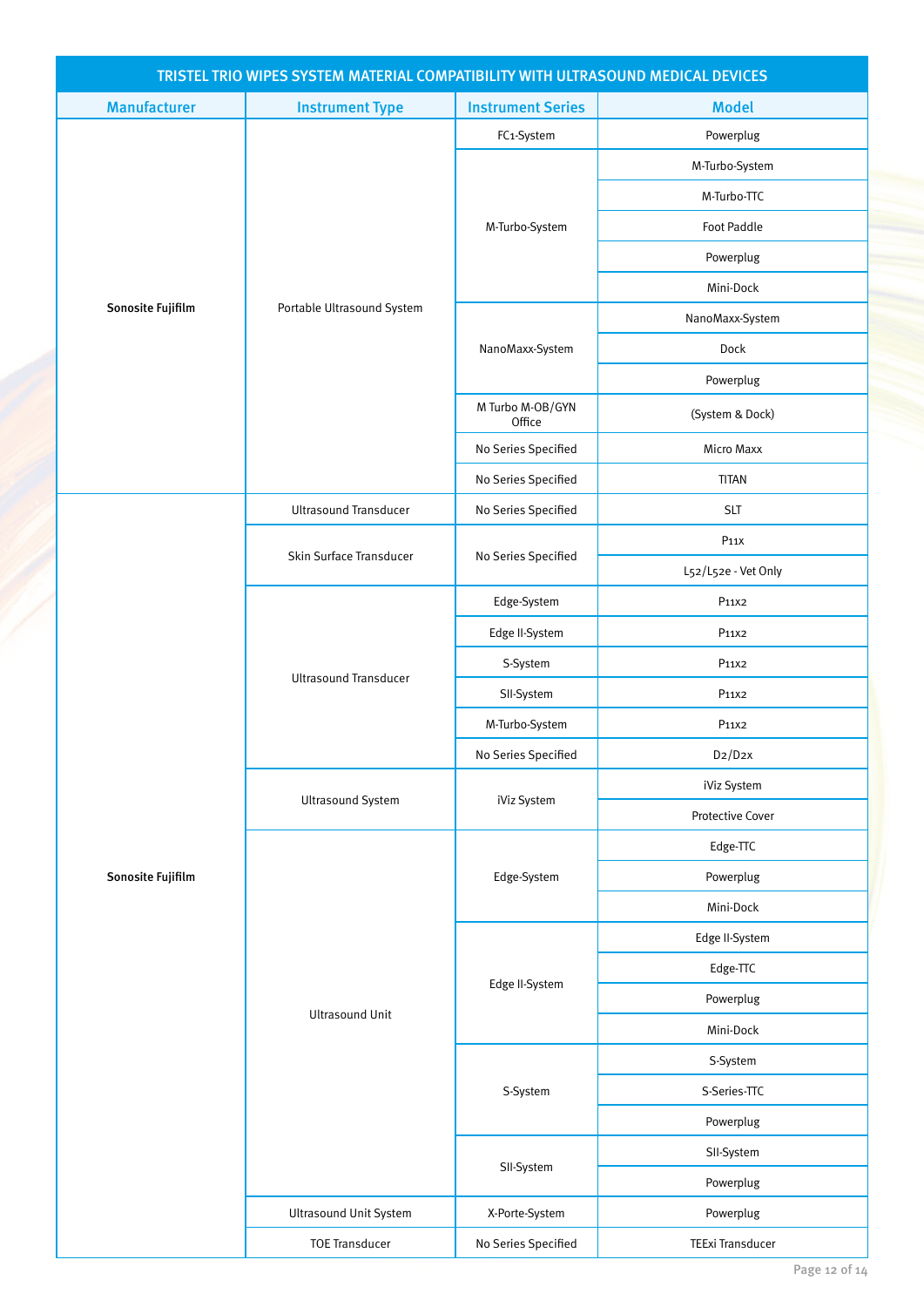| TRISTEL TRIO WIPES SYSTEM MATERIAL COMPATIBILITY WITH ULTRASOUND MEDICAL DEVICES |                               |                            |                         |  |
|----------------------------------------------------------------------------------|-------------------------------|----------------------------|-------------------------|--|
| <b>Manufacturer</b>                                                              | <b>Instrument Type</b>        | <b>Instrument Series</b>   | <b>Model</b>            |  |
|                                                                                  |                               | FC1-System                 | Powerplug               |  |
|                                                                                  |                               |                            | M-Turbo-System          |  |
|                                                                                  |                               |                            | M-Turbo-TTC             |  |
|                                                                                  |                               | M-Turbo-System             | <b>Foot Paddle</b>      |  |
|                                                                                  |                               |                            | Powerplug               |  |
|                                                                                  |                               |                            | Mini-Dock               |  |
| Sonosite Fujifilm                                                                | Portable Ultrasound System    |                            | NanoMaxx-System         |  |
|                                                                                  |                               | NanoMaxx-System            | Dock                    |  |
|                                                                                  |                               |                            | Powerplug               |  |
|                                                                                  |                               | M Turbo M-OB/GYN<br>Office | (System & Dock)         |  |
|                                                                                  |                               | No Series Specified        | <b>Micro Maxx</b>       |  |
|                                                                                  |                               | No Series Specified        | <b>TITAN</b>            |  |
|                                                                                  | <b>Ultrasound Transducer</b>  | No Series Specified        | <b>SLT</b>              |  |
|                                                                                  |                               |                            | P <sub>11X</sub>        |  |
|                                                                                  | Skin Surface Transducer       | No Series Specified        | L52/L52e - Vet Only     |  |
|                                                                                  | <b>Ultrasound Transducer</b>  | Edge-System                | P11X2                   |  |
|                                                                                  |                               | Edge II-System             | P11X2                   |  |
|                                                                                  |                               | S-System                   | P11X2                   |  |
|                                                                                  |                               | SII-System                 | P11X2                   |  |
|                                                                                  |                               | M-Turbo-System             | P11X2                   |  |
|                                                                                  |                               | No Series Specified        | D2/D2X                  |  |
|                                                                                  |                               | iViz System                | iViz System             |  |
|                                                                                  | <b>Ultrasound System</b>      |                            | Protective Cover        |  |
|                                                                                  |                               |                            | Edge-TTC                |  |
| Sonosite Fujifilm                                                                |                               | Edge-System                | Powerplug               |  |
|                                                                                  |                               |                            | Mini-Dock               |  |
|                                                                                  |                               |                            | Edge II-System          |  |
|                                                                                  |                               |                            | Edge-TTC                |  |
|                                                                                  |                               | Edge II-System             | Powerplug               |  |
|                                                                                  | <b>Ultrasound Unit</b>        |                            | Mini-Dock               |  |
|                                                                                  |                               |                            | S-System                |  |
|                                                                                  |                               | S-System                   | S-Series-TTC            |  |
|                                                                                  |                               |                            | Powerplug               |  |
|                                                                                  |                               |                            | SII-System              |  |
|                                                                                  |                               | SII-System                 | Powerplug               |  |
|                                                                                  | <b>Ultrasound Unit System</b> | X-Porte-System             | Powerplug               |  |
|                                                                                  | <b>TOE Transducer</b>         | No Series Specified        | <b>TEExi Transducer</b> |  |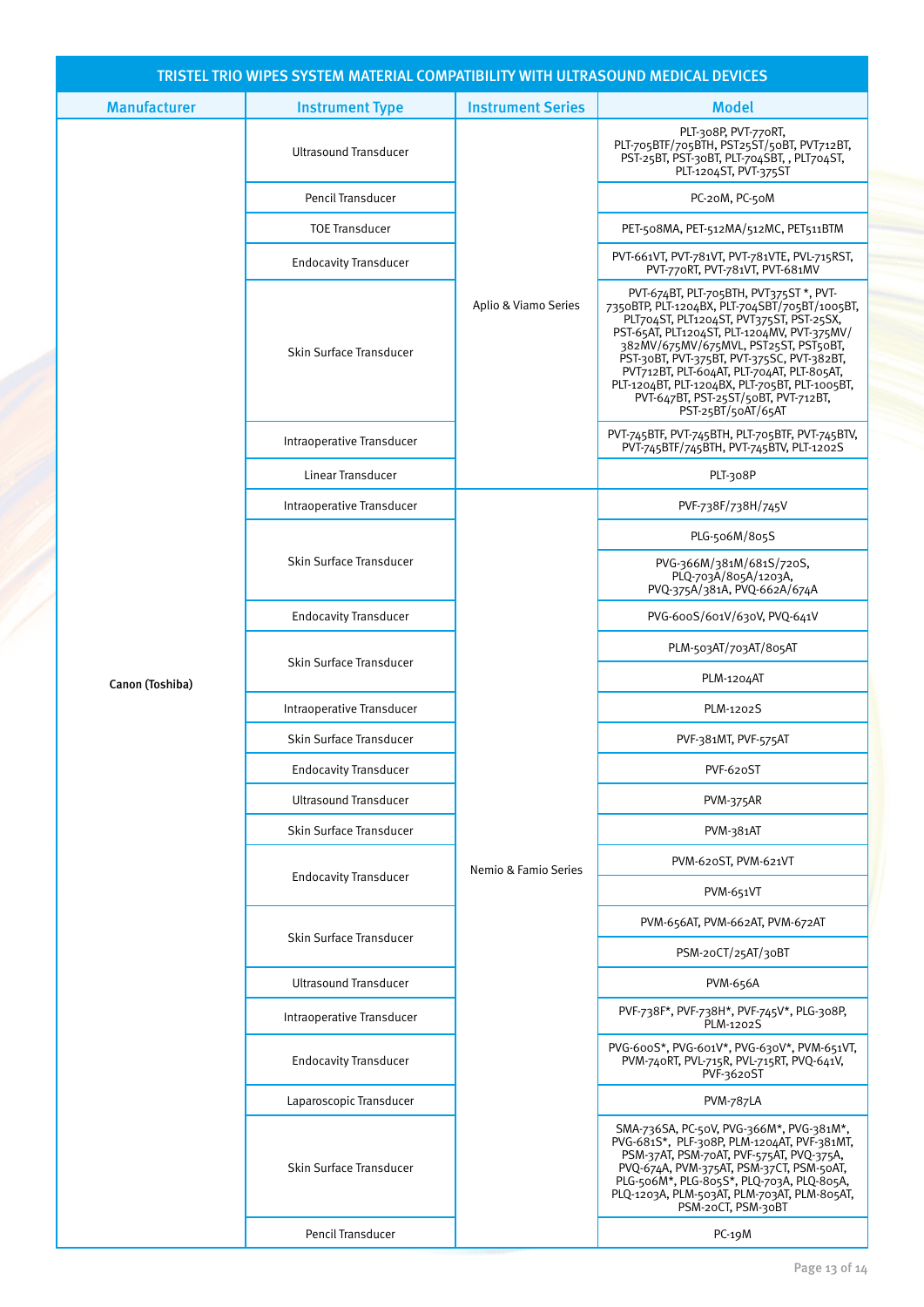| TRISTEL TRIO WIPES SYSTEM MATERIAL COMPATIBILITY WITH ULTRASOUND MEDICAL DEVICES |                              |                          |                                                                                                                                                                                                                                                                                                                                                                                                                                          |  |  |
|----------------------------------------------------------------------------------|------------------------------|--------------------------|------------------------------------------------------------------------------------------------------------------------------------------------------------------------------------------------------------------------------------------------------------------------------------------------------------------------------------------------------------------------------------------------------------------------------------------|--|--|
| <b>Manufacturer</b>                                                              | <b>Instrument Type</b>       | <b>Instrument Series</b> | <b>Model</b>                                                                                                                                                                                                                                                                                                                                                                                                                             |  |  |
|                                                                                  | <b>Ultrasound Transducer</b> | Aplio & Viamo Series     | PLT-308P, PVT-770RT,<br>PLT-705BTF/705BTH, PST25ST/50BT, PVT712BT,<br>PST-25BT, PST-30BT, PLT-704SBT, , PLT704ST,<br>PLT-1204ST, PVT-375ST                                                                                                                                                                                                                                                                                               |  |  |
|                                                                                  | Pencil Transducer            |                          | PC-20M, PC-50M                                                                                                                                                                                                                                                                                                                                                                                                                           |  |  |
|                                                                                  | <b>TOE Transducer</b>        |                          | PET-508MA, PET-512MA/512MC, PET511BTM                                                                                                                                                                                                                                                                                                                                                                                                    |  |  |
|                                                                                  | <b>Endocavity Transducer</b> |                          | PVT-661VT, PVT-781VT, PVT-781VTE, PVL-715RST,<br>PVT-770RT, PVT-781VT, PVT-681MV                                                                                                                                                                                                                                                                                                                                                         |  |  |
|                                                                                  | Skin Surface Transducer      |                          | PVT-674BT, PLT-705BTH, PVT375ST *, PVT-<br>7350BTP, PLT-1204BX, PLT-704SBT/705BT/1005BT,<br>PLT704ST, PLT1204ST, PVT375ST, PST-25SX,<br>PST-65AT, PLT1204ST, PLT-1204MV, PVT-375MV/<br>382MV/675MV/675MVL, PST25ST, PST50BT,<br>PST-30BT, PVT-375BT, PVT-375SC, PVT-382BT,<br>PVT712BT, PLT-604AT, PLT-704AT, PLT-805AT,<br>PLT-1204BT, PLT-1204BX, PLT-705BT, PLT-1005BT,<br>PVT-647BT, PST-25ST/50BT, PVT-712BT,<br>PST-25BT/50AT/65AT |  |  |
|                                                                                  | Intraoperative Transducer    |                          | PVT-745BTF, PVT-745BTH, PLT-705BTF, PVT-745BTV,<br>PVT-745BTF/745BTH, PVT-745BTV, PLT-1202S                                                                                                                                                                                                                                                                                                                                              |  |  |
|                                                                                  | Linear Transducer            |                          | PLT-308P                                                                                                                                                                                                                                                                                                                                                                                                                                 |  |  |
|                                                                                  | Intraoperative Transducer    |                          | PVF-738F/738H/745V                                                                                                                                                                                                                                                                                                                                                                                                                       |  |  |
| Canon (Toshiba)                                                                  |                              | Nemio & Famio Series     | PLG-506M/805S                                                                                                                                                                                                                                                                                                                                                                                                                            |  |  |
|                                                                                  | Skin Surface Transducer      |                          | PVG-366M/381M/681S/720S,<br>PLQ-703A/805A/1203A,<br>PVQ-375A/381A, PVQ-662A/674A                                                                                                                                                                                                                                                                                                                                                         |  |  |
|                                                                                  | <b>Endocavity Transducer</b> |                          | PVG-600S/601V/630V, PVQ-641V                                                                                                                                                                                                                                                                                                                                                                                                             |  |  |
|                                                                                  | Skin Surface Transducer      |                          | PLM-503AT/703AT/805AT                                                                                                                                                                                                                                                                                                                                                                                                                    |  |  |
|                                                                                  |                              |                          | PLM-1204AT                                                                                                                                                                                                                                                                                                                                                                                                                               |  |  |
|                                                                                  | Intraoperative Transducer    |                          | PLM-1202S                                                                                                                                                                                                                                                                                                                                                                                                                                |  |  |
|                                                                                  | Skin Surface Transducer      |                          | PVF-381MT, PVF-575AT                                                                                                                                                                                                                                                                                                                                                                                                                     |  |  |
|                                                                                  | <b>Endocavity Transducer</b> |                          | PVF-620ST                                                                                                                                                                                                                                                                                                                                                                                                                                |  |  |
|                                                                                  | <b>Ultrasound Transducer</b> |                          | PVM-375AR                                                                                                                                                                                                                                                                                                                                                                                                                                |  |  |
|                                                                                  | Skin Surface Transducer      |                          | PVM-381AT                                                                                                                                                                                                                                                                                                                                                                                                                                |  |  |
|                                                                                  | <b>Endocavity Transducer</b> |                          | PVM-620ST, PVM-621VT                                                                                                                                                                                                                                                                                                                                                                                                                     |  |  |
|                                                                                  |                              |                          | PVM-651VT                                                                                                                                                                                                                                                                                                                                                                                                                                |  |  |
|                                                                                  | Skin Surface Transducer      |                          | PVM-656AT, PVM-662AT, PVM-672AT                                                                                                                                                                                                                                                                                                                                                                                                          |  |  |
|                                                                                  |                              |                          | PSM-20CT/25AT/30BT                                                                                                                                                                                                                                                                                                                                                                                                                       |  |  |
|                                                                                  | <b>Ultrasound Transducer</b> |                          | PVM-656A                                                                                                                                                                                                                                                                                                                                                                                                                                 |  |  |
|                                                                                  | Intraoperative Transducer    |                          | PVF-738F*, PVF-738H*, PVF-745V*, PLG-308P,<br>PLM-1202S                                                                                                                                                                                                                                                                                                                                                                                  |  |  |
|                                                                                  | <b>Endocavity Transducer</b> |                          | PVG-600S*, PVG-601V*, PVG-630V*, PVM-651VT,<br>PVM-740RT, PVL-715R, PVL-715RT, PVQ-641V,<br>PVF-3620ST                                                                                                                                                                                                                                                                                                                                   |  |  |
|                                                                                  | Laparoscopic Transducer      |                          | <b>PVM-787LA</b>                                                                                                                                                                                                                                                                                                                                                                                                                         |  |  |
|                                                                                  | Skin Surface Transducer      |                          | SMA-736SA, PC-50V, PVG-366M*, PVG-381M*,<br>PVG-681S*, PLF-308P, PLM-1204AT, PVF-381MT,<br>PSM-37AT, PSM-70AT, PVF-575AT, PVQ-375A,<br>PVQ-674A, PVM-375AT, PSM-37CT, PSM-50AT,<br>PLG-506M*, PLG-805S*, PLQ-703A, PLQ-805A,<br>PLQ-1203A, PLM-503AT, PLM-703AT, PLM-805AT,<br>PSM-20CT, PSM-30BT                                                                                                                                        |  |  |
|                                                                                  | Pencil Transducer            |                          | $PC-19M$                                                                                                                                                                                                                                                                                                                                                                                                                                 |  |  |